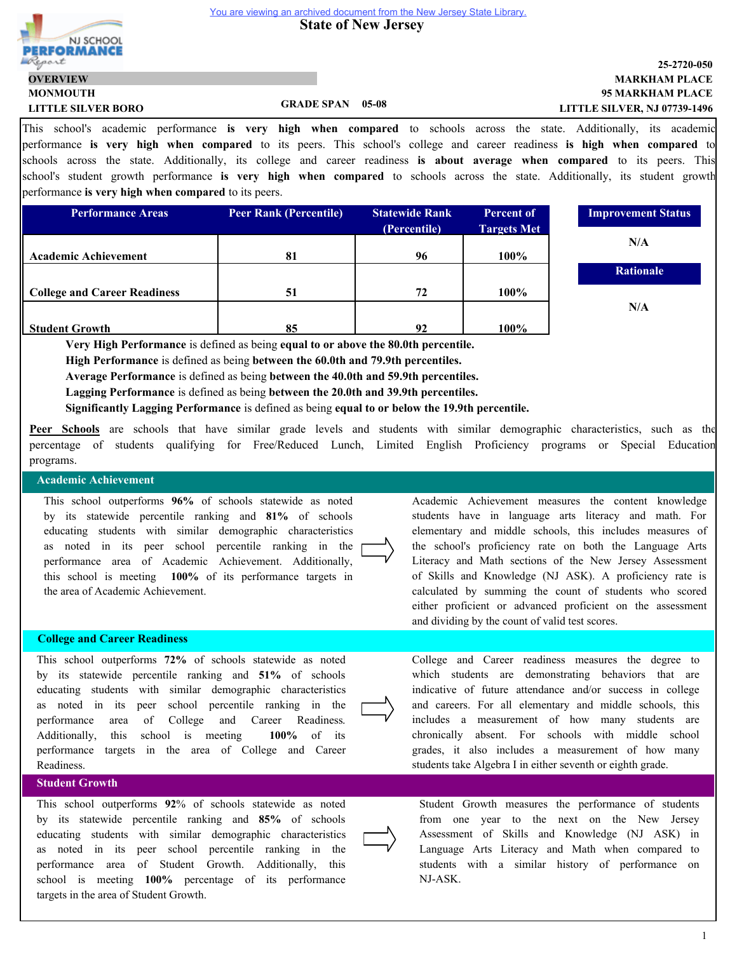**State of New Jersey** 



## **95 MARKHAM PLACE MARKHAM PLACE 25-2720-050 LITTLE SILVER, NJ 07739-1496**

**MONMOUTH LITTLE SILVER BORO GRADE SPAN 05-08 OVERVIEW**

<sup>1</sup> This school's academic performance **is very high when compared** to schools across the state. Additionally, its academic performance **is very high when compared** to its peers. This school's college and career readiness **is high when compared** to schools across the state. Additionally, its college and career readiness **is about average when compared** to its peers. This school's student growth performance **is very high when compared** to schools across the state. Additionally, its student growth performance **is very high when compared** to its peers.

| <b>Performance Areas</b>            | <b>Peer Rank (Percentile)</b> | <b>Statewide Rank</b> | <b>Percent of</b>  | <b>Improvement Status</b> |
|-------------------------------------|-------------------------------|-----------------------|--------------------|---------------------------|
|                                     |                               | (Percentile)          | <b>Targets Met</b> |                           |
|                                     |                               |                       |                    | N/A                       |
| <b>Academic Achievement</b>         | 81                            | 96                    | 100%               |                           |
|                                     |                               |                       |                    | <b>Rationale</b>          |
| <b>College and Career Readiness</b> | 51                            | 72                    | 100%               |                           |
|                                     |                               |                       |                    | N/A                       |
| <b>Student Growth</b>               | 85                            | 92                    | 100%               |                           |

**Very High Performance** is defined as being **equal to or above the 80.0th percentile.**

**High Performance** is defined as being **between the 60.0th and 79.9th percentiles.**

**Average Performance** is defined as being **between the 40.0th and 59.9th percentiles.**

**Lagging Performance** is defined as being **between the 20.0th and 39.9th percentiles.**

**Significantly Lagging Performance** is defined as being **equal to or below the 19.9th percentile.**

**Peer Schools** are schools that have similar grade levels and students with similar demographic characteristics, such as the percentage of students qualifying for Free/Reduced Lunch, Limited English Proficiency programs or Special Education programs.

#### **Academic Achievement**

This school outperforms **96%** of schools statewide as noted by its statewide percentile ranking and **81%** of schools educating students with similar demographic characteristics as noted in its peer school percentile ranking in the performance area of Academic Achievement. Additionally, this school is meeting **100%** of its performance targets in the area of Academic Achievement.

#### **College and Career Readiness**

This school outperforms **72%** of schools statewide as noted by its statewide percentile ranking and **51%** of schools educating students with similar demographic characteristics as noted in its peer school percentile ranking in the performance area of College and Career Readiness. Additionally, this school is meeting **100%** of its performance targets in the area of College and Career Readiness.

#### **Student Growth**

This school outperforms **92**% of schools statewide as noted by its statewide percentile ranking and **85%** of schools educating students with similar demographic characteristics as noted in its peer school percentile ranking in the performance area of Student Growth. Additionally, this school is meeting **100%** percentage of its performance targets in the area of Student Growth.

Academic Achievement measures the content knowledge students have in language arts literacy and math. For elementary and middle schools, this includes measures of the school's proficiency rate on both the Language Arts Literacy and Math sections of the New Jersey Assessment of Skills and Knowledge (NJ ASK). A proficiency rate is calculated by summing the count of students who scored either proficient or advanced proficient on the assessment and dividing by the count of valid test scores.

College and Career readiness measures the degree to which students are demonstrating behaviors that are indicative of future attendance and/or success in college and careers. For all elementary and middle schools, this includes a measurement of how many students are chronically absent. For schools with middle school grades, it also includes a measurement of how many students take Algebra I in either seventh or eighth grade.



Student Growth measures the performance of students from one year to the next on the New Jersey Assessment of Skills and Knowledge (NJ ASK) in Language Arts Literacy and Math when compared to students with a similar history of performance on NJ-ASK.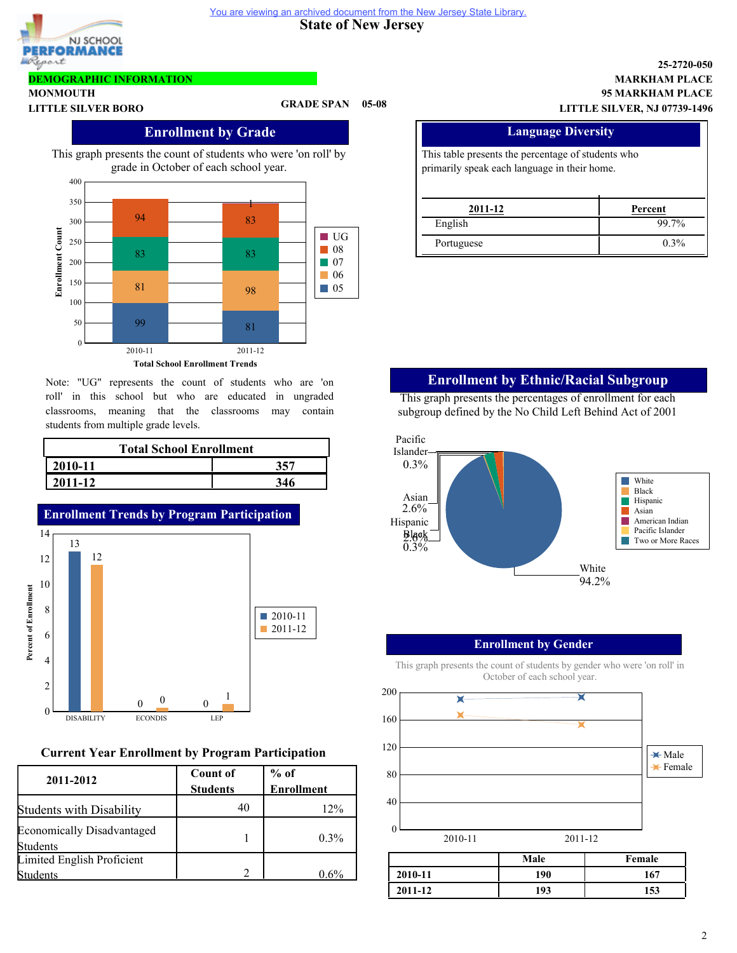

**DEMOGRAPHIC INFORMATION**

**MONMOUTH**

#### **State of New Jersey**  You are viewing an archived document from the New Jersey State Library.

## **95 MARKHAM PLACE MARKHAM PLACE 25-2720-050 LITTLE SILVER, NJ 07739-1496**

# **Enrollment by Grade**

**LITTLE SILVER BORO GRADE SPAN 05-08**

This graph presents the count of students who were 'on roll' by grade in October of each school year.



Note: "UG" represents the count of students who are 'on roll' in this school but who are educated in ungraded classrooms, meaning that the classrooms may contain students from multiple grade levels.

| <b>Total School Enrollment</b> |      |  |  |  |
|--------------------------------|------|--|--|--|
| $ 2010-11$                     | 357. |  |  |  |
| 2011-12                        | 346  |  |  |  |



# **Current Year Enrollment by Program Participation**

| 2011-2012                                            | <b>Count of</b><br><b>Students</b> | $%$ of<br><b>Enrollment</b> |
|------------------------------------------------------|------------------------------------|-----------------------------|
| <b>Students with Disability</b>                      | 40                                 | 12%                         |
| <b>Economically Disadvantaged</b><br><b>Students</b> |                                    | $0.3\%$                     |
| Limited English Proficient<br>Students               |                                    | 96%                         |

| <b>Language Diversity</b> |                                                                                                    |  |  |  |  |  |
|---------------------------|----------------------------------------------------------------------------------------------------|--|--|--|--|--|
|                           | This table presents the percentage of students who<br>primarily speak each language in their home. |  |  |  |  |  |
| 2011-12                   | Percent                                                                                            |  |  |  |  |  |
| English                   | $99.7\%$                                                                                           |  |  |  |  |  |

Portuguese 0.3%

# **Enrollment by Ethnic/Racial Subgroup**

This graph presents the percentages of enrollment for each subgroup defined by the No Child Left Behind Act of 2001



### **Enrollment by Gender**

This graph presents the count of students by gender who were 'on roll' in October of each school year.



2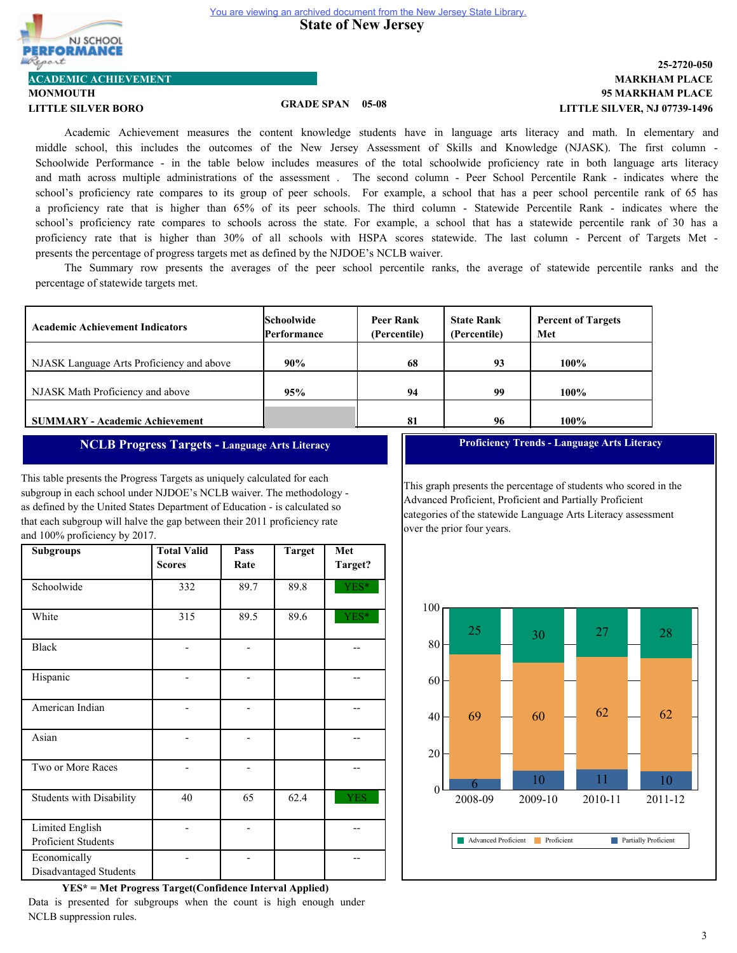NJ SCHOOL **FORMANCI** port

**MONMOUTH ACADEMIC ACHIEVEMENT**

# **LITTLE SILVER BORO GRADE SPAN 05-08**

# **95 MARKHAM PLACE MARKHAM PLACE 25-2720-050 LITTLE SILVER, NJ 07739-1496**

Academic Achievement measures the content knowledge students have in language arts literacy and math. In elementary and middle school, this includes the outcomes of the New Jersey Assessment of Skills and Knowledge (NJASK). The first column - Schoolwide Performance - in the table below includes measures of the total schoolwide proficiency rate in both language arts literacy and math across multiple administrations of the assessment . The second column - Peer School Percentile Rank - indicates where the school's proficiency rate compares to its group of peer schools. For example, a school that has a peer school percentile rank of 65 has a proficiency rate that is higher than 65% of its peer schools. The third column - Statewide Percentile Rank - indicates where the school's proficiency rate compares to schools across the state. For example, a school that has a statewide percentile rank of 30 has a proficiency rate that is higher than 30% of all schools with HSPA scores statewide. The last column - Percent of Targets Met presents the percentage of progress targets met as defined by the NJDOE's NCLB waiver.

The Summary row presents the averages of the peer school percentile ranks, the average of statewide percentile ranks and the percentage of statewide targets met.

| <b>Academic Achievement Indicators</b>    | <b>Schoolwide</b><br><b>Performance</b> | <b>Peer Rank</b><br>(Percentile) | <b>State Rank</b><br>(Percentile) | <b>Percent of Targets</b><br>Met |
|-------------------------------------------|-----------------------------------------|----------------------------------|-----------------------------------|----------------------------------|
| NJASK Language Arts Proficiency and above | 90%                                     | 68                               | 93                                | $100\%$                          |
| NJASK Math Proficiency and above          | 95%                                     | 94                               | 99                                | $100\%$                          |
| <b>SUMMARY - Academic Achievement</b>     |                                         | 81                               | 96                                | 100%                             |

# **NCLB Progress Targets - Language Arts Literacy**

This table presents the Progress Targets as uniquely calculated for each subgroup in each school under NJDOE's NCLB waiver. The methodology as defined by the United States Department of Education - is calculated so that each subgroup will halve the gap between their 2011 proficiency rate and 100% proficiency by 2017.

| <b>Subgroups</b>                       | <b>Total Valid</b><br><b>Scores</b> | Pass<br>Rate | <b>Target</b> | Met<br>Target? |
|----------------------------------------|-------------------------------------|--------------|---------------|----------------|
| Schoolwide                             | 332                                 | 89.7         | 89.8          | YES*           |
| White                                  | 315                                 | 89.5         | 89.6          | YES*           |
| <b>Black</b>                           |                                     |              |               |                |
| Hispanic                               |                                     |              |               |                |
| American Indian                        |                                     |              |               |                |
| Asian                                  |                                     |              |               |                |
| Two or More Races                      |                                     |              |               |                |
| <b>Students with Disability</b>        | 40                                  | 65           | 62.4          | YES            |
| Limited English<br>Proficient Students |                                     |              |               |                |
| Economically<br>Disadvantaged Students |                                     |              |               |                |

**YES\* = Met Progress Target(Confidence Interval Applied)** Data is presented for subgroups when the count is high enough under NCLB suppression rules.

**Proficiency Trends - Language Arts Literacy**

This graph presents the percentage of students who scored in the Advanced Proficient, Proficient and Partially Proficient categories of the statewide Language Arts Literacy assessment over the prior four years.

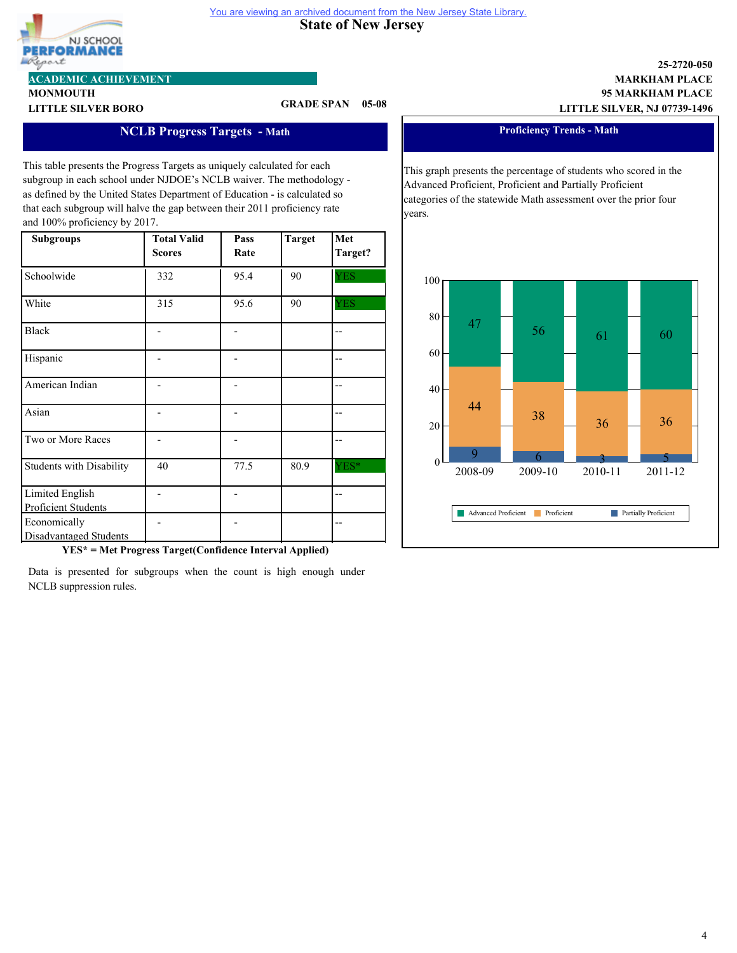# NJ SCHOOL RFORMANCE lgort

# **ACADEMIC ACHIEVEMENT**

**MONMOUTH**

# **LITTLE SILVER BORO GRADE SPAN 05-08**

**State of New Jersey** 

You are viewing an archived document from the New Jersey State Library.

# **NCLB Progress Targets - Math**

This table presents the Progress Targets as uniquely calculated for each subgroup in each school under NJDOE's NCLB waiver. The methodology as defined by the United States Department of Education - is calculated so that each subgroup will halve the gap between their 2011 proficiency rate and 100% proficiency by 2017.

| <b>Subgroups</b>                              | <b>Total Valid</b><br><b>Scores</b> | Pass<br>Rate | <b>Target</b> | Met<br>Target? |
|-----------------------------------------------|-------------------------------------|--------------|---------------|----------------|
| Schoolwide                                    | 332                                 | 95.4         | 90            | <b>YES</b>     |
| White                                         | 315                                 | 95.6         | 90            | <b>YES</b>     |
| <b>Black</b>                                  |                                     |              |               |                |
| Hispanic                                      |                                     |              |               |                |
| American Indian                               |                                     |              |               |                |
| Asian                                         |                                     |              |               |                |
| Two or More Races                             |                                     |              |               |                |
| <b>Students with Disability</b>               | 40                                  | 77.5         | 80.9          | YES*           |
| Limited English<br>Proficient Students        |                                     |              |               |                |
| Economically<br><b>Disadvantaged Students</b> |                                     |              |               |                |

**YES\* = Met Progress Target(Confidence Interval Applied)**

Data is presented for subgroups when the count is high enough under NCLB suppression rules.

**95 MARKHAM PLACE LITTLE SILVER, NJ 07739-1496**

**MARKHAM PLACE**

**25-2720-050**

#### **Proficiency Trends - Math**

This graph presents the percentage of students who scored in the Advanced Proficient, Proficient and Partially Proficient categories of the statewide Math assessment over the prior four years.

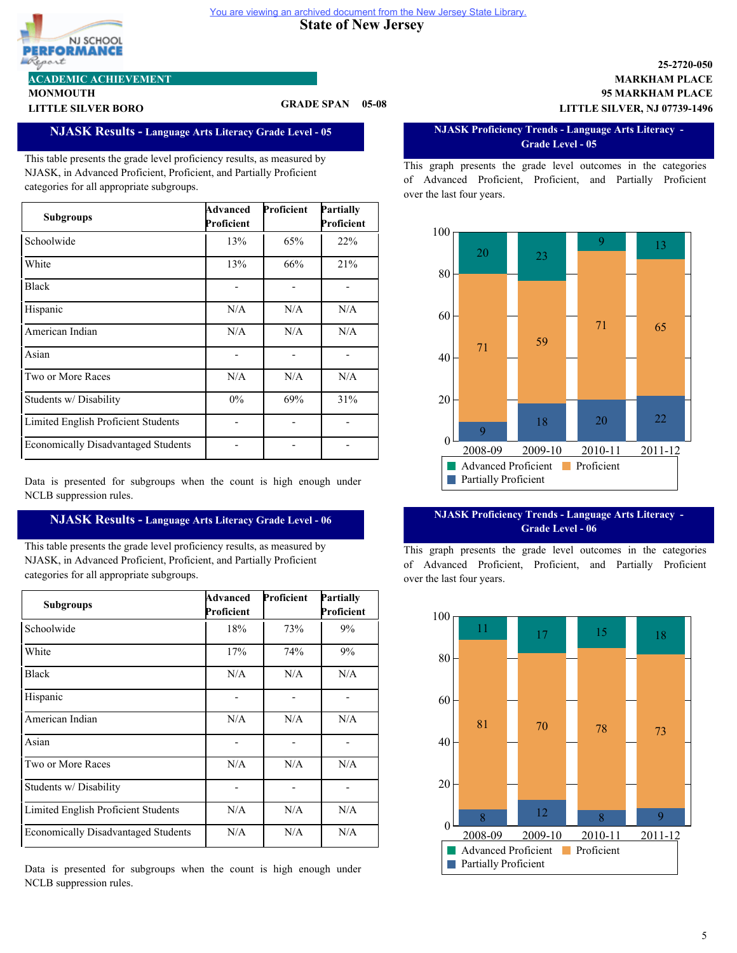#### **State of New Jersey**  You are viewing an archived document from the New Jersey State Library.



# **ACADEMIC ACHIEVEMENT**

**MONMOUTH**

# **LITTLE SILVER BORO GRADE SPAN 05-08**

# **NJASK Results - Language Arts Literacy Grade Level - 05**

This table presents the grade level proficiency results, as measured by NJASK, in Advanced Proficient, Proficient, and Partially Proficient categories for all appropriate subgroups.

| <b>Subgroups</b>                           | Advanced<br>Proficient | Proficient | Partially<br>Proficient |
|--------------------------------------------|------------------------|------------|-------------------------|
| Schoolwide                                 | 13%                    | 65%        | 22%                     |
| White                                      | 13%                    | 66%        | 21%                     |
| <b>Black</b>                               |                        |            |                         |
| Hispanic                                   | N/A                    | N/A        | N/A                     |
| American Indian                            | N/A                    | N/A        | N/A                     |
| Asian                                      |                        |            |                         |
| Two or More Races                          | N/A                    | N/A        | N/A                     |
| Students w/ Disability                     | $0\%$                  | 69%        | 31%                     |
| Limited English Proficient Students        |                        |            |                         |
| <b>Economically Disadvantaged Students</b> |                        |            |                         |

Data is presented for subgroups when the count is high enough under NCLB suppression rules.

# **NJASK Results - Language Arts Literacy Grade Level - 06**

This table presents the grade level proficiency results, as measured by NJASK, in Advanced Proficient, Proficient, and Partially Proficient categories for all appropriate subgroups.

| <b>Subgroups</b>                           | Advanced<br>Proficient | Proficient | Partially<br>Proficient |
|--------------------------------------------|------------------------|------------|-------------------------|
| Schoolwide                                 | 18%                    | 73%        | 9%                      |
| White                                      | 17%                    | 74%        | 9%                      |
| <b>Black</b>                               | N/A                    | N/A        | N/A                     |
| Hispanic                                   |                        |            |                         |
| American Indian                            | N/A                    | N/A        | N/A                     |
| Asian                                      |                        |            |                         |
| Two or More Races                          | N/A                    | N/A        | N/A                     |
| Students w/ Disability                     |                        |            |                         |
| Limited English Proficient Students        | N/A                    | N/A        | N/A                     |
| <b>Economically Disadvantaged Students</b> | N/A                    | N/A        | N/A                     |

Data is presented for subgroups when the count is high enough under NCLB suppression rules.

### **95 MARKHAM PLACE MARKHAM PLACE 25-2720-050 LITTLE SILVER, NJ 07739-1496**

#### **NJASK Proficiency Trends - Language Arts Literacy - Grade Level - 05**

This graph presents the grade level outcomes in the categories of Advanced Proficient, Proficient, and Partially Proficient over the last four years.



### **NJASK Proficiency Trends - Language Arts Literacy - Grade Level - 06**

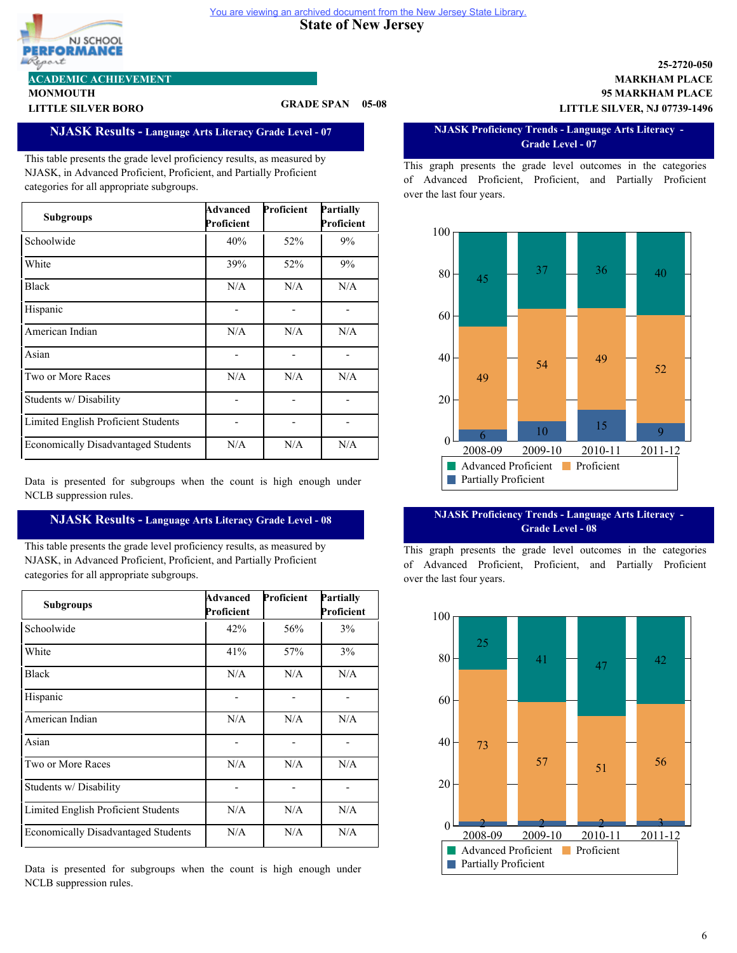#### **State of New Jersey**  You are viewing an archived document from the New Jersey State Library.



# **ACADEMIC ACHIEVEMENT**

**MONMOUTH**

# **LITTLE SILVER BORO GRADE SPAN 05-08**

# **NJASK Results - Language Arts Literacy Grade Level - 07**

This table presents the grade level proficiency results, as measured by NJASK, in Advanced Proficient, Proficient, and Partially Proficient categories for all appropriate subgroups.

| <b>Subgroups</b>                           | Advanced<br>Proficient | Proficient | Partially<br>Proficient |
|--------------------------------------------|------------------------|------------|-------------------------|
| Schoolwide                                 | 40%                    | 52%        | 9%                      |
| White                                      | 39%                    | 52%        | 9%                      |
| <b>Black</b>                               | N/A                    | N/A        | N/A                     |
| Hispanic                                   |                        |            |                         |
| American Indian                            | N/A                    | N/A        | N/A                     |
| Asian                                      |                        |            |                         |
| Two or More Races                          | N/A                    | N/A        | N/A                     |
| Students w/ Disability                     |                        |            |                         |
| Limited English Proficient Students        |                        |            |                         |
| <b>Economically Disadvantaged Students</b> | N/A                    | N/A        | N/A                     |

Data is presented for subgroups when the count is high enough under NCLB suppression rules.

# **NJASK Results - Language Arts Literacy Grade Level - 08**

This table presents the grade level proficiency results, as measured by NJASK, in Advanced Proficient, Proficient, and Partially Proficient categories for all appropriate subgroups.

| <b>Subgroups</b>                           | Advanced<br>Proficient | Proficient | Partially<br>Proficient |
|--------------------------------------------|------------------------|------------|-------------------------|
| Schoolwide                                 | 42%                    | 56%        | 3%                      |
| White                                      | 41%                    | 57%        | 3%                      |
| <b>Black</b>                               | N/A                    | N/A        | N/A                     |
| Hispanic                                   |                        |            |                         |
| American Indian                            | N/A                    | N/A        | N/A                     |
| Asian                                      |                        |            |                         |
| Two or More Races                          | N/A                    | N/A        | N/A                     |
| Students w/Disability                      |                        |            |                         |
| Limited English Proficient Students        | N/A                    | N/A        | N/A                     |
| <b>Economically Disadvantaged Students</b> | N/A                    | N/A        | N/A                     |

Data is presented for subgroups when the count is high enough under NCLB suppression rules.

### **95 MARKHAM PLACE MARKHAM PLACE 25-2720-050 LITTLE SILVER, NJ 07739-1496**

#### **NJASK Proficiency Trends - Language Arts Literacy - Grade Level - 07**

This graph presents the grade level outcomes in the categories of Advanced Proficient, Proficient, and Partially Proficient over the last four years.



### **NJASK Proficiency Trends - Language Arts Literacy - Grade Level - 08**

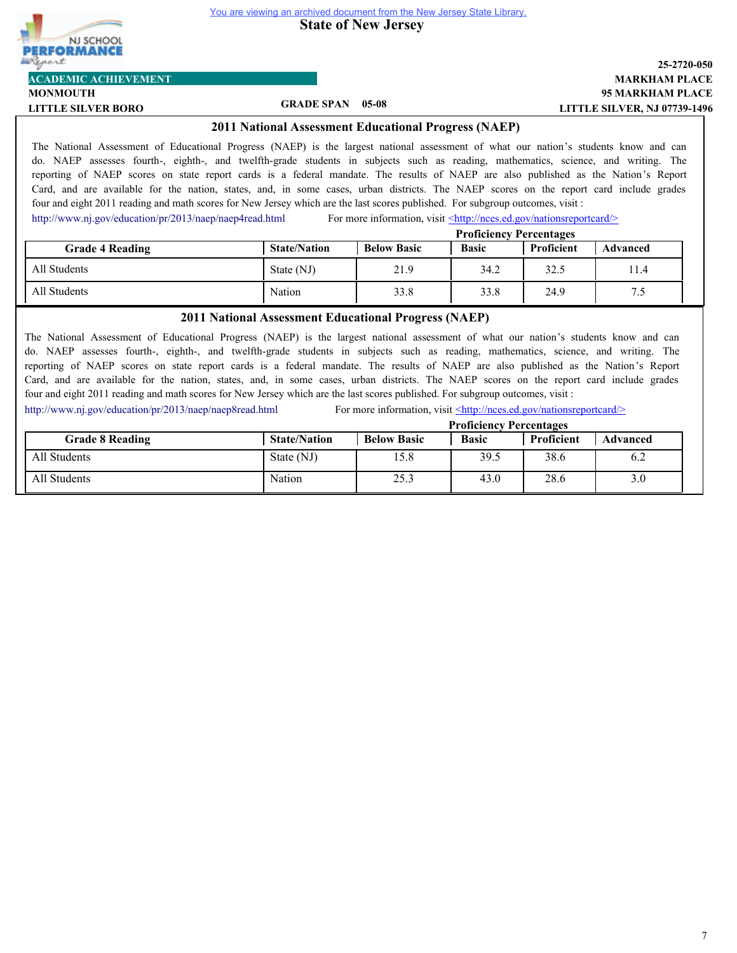

**State of New Jersey** 

# **95 MARKHAM PLACE MARKHAM PLACE 25-2720-050 LITTLE SILVER, NJ 07739-1496**

**MONMOUTH ACADEMIC ACHIEVEMENT**

# **LITTLE SILVER BORO GRADE SPAN 05-08**

# **2011 National Assessment Educational Progress (NAEP)**

The National Assessment of Educational Progress (NAEP) is the largest national assessment of what our nation's students know and can do. NAEP assesses fourth-, eighth-, and twelfth-grade students in subjects such as reading, mathematics, science, and writing. The reporting of NAEP scores on state report cards is a federal mandate. The results of NAEP are also published as the Nation's Report Card, and are available for the nation, states, and, in some cases, urban districts. The NAEP scores on the report card include grades four and eight 2011 reading and math scores for New Jersey which are the last scores published. For subgroup outcomes, visit :

<http://www.nj.gov/education/pr/2013/naep/naep4read.html> For more information, visit  $\leq$ http://nces.ed.gov/nationsreportcard/>

|                        | <b>Proficiency Percentages</b> |                    |              |            |          |
|------------------------|--------------------------------|--------------------|--------------|------------|----------|
| <b>Grade 4 Reading</b> | <b>State/Nation</b>            | <b>Below Basic</b> | <b>Basic</b> | Proficient | Advanced |
| All Students           | State (NJ)                     | 21.9               | 34.2         | 32.5       | 1.4      |
| All Students           | Nation                         | 33.8               | 33.8         | 24.9       |          |

## **2011 National Assessment Educational Progress (NAEP)**

The National Assessment of Educational Progress (NAEP) is the largest national assessment of what our nation's students know and can do. NAEP assesses fourth-, eighth-, and twelfth-grade students in subjects such as reading, mathematics, science, and writing. The reporting of NAEP scores on state report cards is a federal mandate. The results of NAEP are also published as the Nation's Report Card, and are available for the nation, states, and, in some cases, urban districts. The NAEP scores on the report card include grades four and eight 2011 reading and math scores for New Jersey which are the last scores published. For subgroup outcomes, visit :

<http://www.nj.gov/education/pr/2013/naep/naep8read.html> For more information, visit <http://nces.ed.gov/nationsreportcard/>

|                        |                     |                    | <b>Proficiency Percentages</b> |            |                 |
|------------------------|---------------------|--------------------|--------------------------------|------------|-----------------|
| <b>Grade 8 Reading</b> | <b>State/Nation</b> | <b>Below Basic</b> | <b>Basic</b>                   | Proficient | <b>Advanced</b> |
| All Students           | State (NJ)          | 15.8               | 39.5                           | 38.6       | 6.2             |
| All Students           | Nation              | 25.3               | 43.0                           | 28.6       | 3.0             |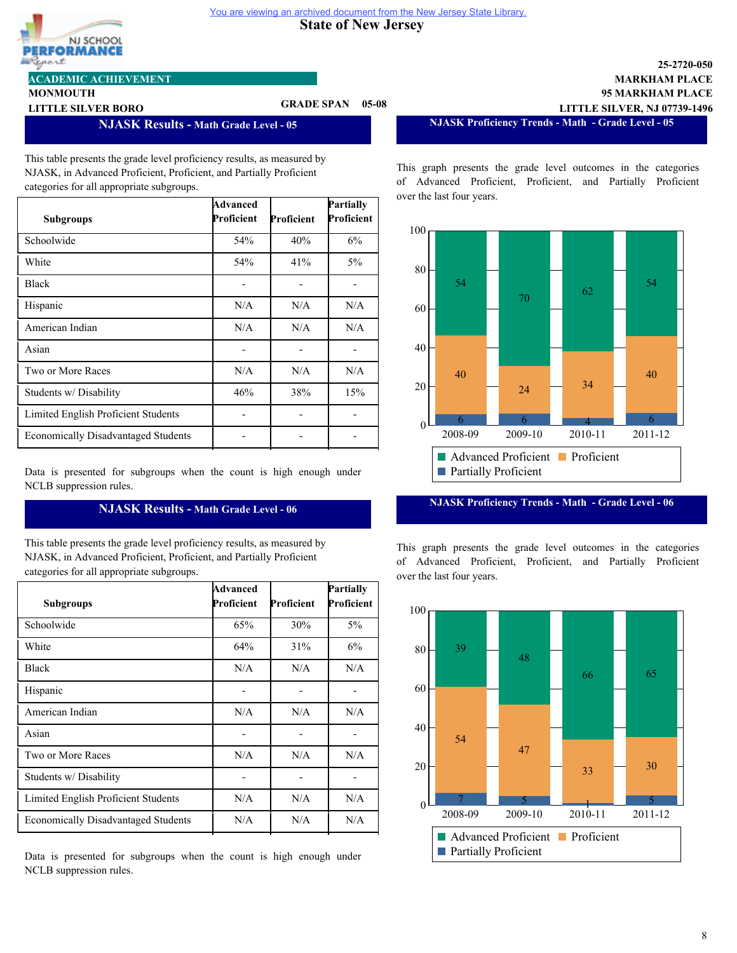

**MONMOUTH**

### **ACADEMIC ACHIEVEMENT**

# **LITTLE SILVER BORO GRADE SPAN 05-08**

**NJASK Results - Math Grade Level - 05**

This table presents the grade level proficiency results, as measured by NJASK, in Advanced Proficient, Proficient, and Partially Proficient categories for all appropriate subgroups.

| <b>Subgroups</b>                           | Advanced<br>Proficient | Proficient | Partially<br>Proficient |
|--------------------------------------------|------------------------|------------|-------------------------|
| Schoolwide                                 | 54%                    | 40%        | 6%                      |
| White                                      | 54%                    | 41%        | $5\%$                   |
| <b>Black</b>                               |                        |            |                         |
| Hispanic                                   | N/A                    | N/A        | N/A                     |
| American Indian                            | N/A                    | N/A        | N/A                     |
| Asian                                      |                        |            |                         |
| Two or More Races                          | N/A                    | N/A        | N/A                     |
| Students w/ Disability                     | 46%                    | 38%        | 15%                     |
| Limited English Proficient Students        |                        |            |                         |
| <b>Economically Disadvantaged Students</b> |                        |            |                         |

Data is presented for subgroups when the count is high enough under NCLB suppression rules.

# **NJASK Results - Math Grade Level - 06**

This table presents the grade level proficiency results, as measured by NJASK, in Advanced Proficient, Proficient, and Partially Proficient categories for all appropriate subgroups.

| <b>Subgroups</b>                           | Advanced<br>Proficient | Proficient | Partially<br>Proficient |
|--------------------------------------------|------------------------|------------|-------------------------|
| Schoolwide                                 | 65%                    | 30%        | $5\%$                   |
| White                                      | 64%                    | 31%        | 6%                      |
| <b>Black</b>                               | N/A                    | N/A        | N/A                     |
| Hispanic                                   |                        |            |                         |
| American Indian                            | N/A                    | N/A        | N/A                     |
| Asian                                      |                        |            |                         |
| Two or More Races                          | N/A                    | N/A        | N/A                     |
| Students w/ Disability                     |                        |            |                         |
| Limited English Proficient Students        | N/A                    | N/A        | N/A                     |
| <b>Economically Disadvantaged Students</b> | N/A                    | N/A        | N/A                     |

Data is presented for subgroups when the count is high enough under NCLB suppression rules.

**NJASK Proficiency Trends - Math - Grade Level - 05**

**95 MARKHAM PLACE MARKHAM PLACE**

**LITTLE SILVER, NJ 07739-1496**

**25-2720-050**

This graph presents the grade level outcomes in the categories of Advanced Proficient, Proficient, and Partially Proficient over the last four years.



**NJASK Proficiency Trends - Math - Grade Level - 06**

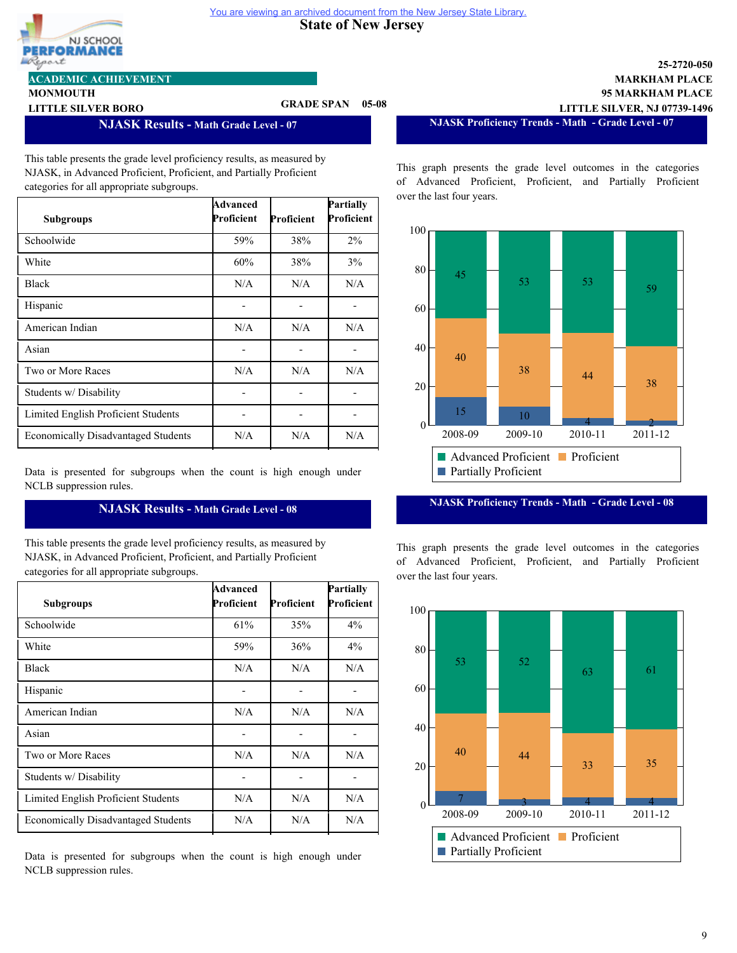

**MONMOUTH**

### **ACADEMIC ACHIEVEMENT**

# **LITTLE SILVER BORO GRADE SPAN 05-08**

**NJASK Results - Math Grade Level - 07**

This table presents the grade level proficiency results, as measured by NJASK, in Advanced Proficient, Proficient, and Partially Proficient categories for all appropriate subgroups.

| <b>Subgroups</b>                           | Advanced<br>Proficient | Proficient | Partially<br>Proficient |
|--------------------------------------------|------------------------|------------|-------------------------|
| Schoolwide                                 | 59%                    | 38%        | $2\%$                   |
| White                                      | 60%                    | 38%        | 3%                      |
| <b>Black</b>                               | N/A                    | N/A        | N/A                     |
| Hispanic                                   |                        |            |                         |
| American Indian                            | N/A                    | N/A        | N/A                     |
| Asian                                      |                        |            |                         |
| Two or More Races                          | N/A                    | N/A        | N/A                     |
| Students w/ Disability                     |                        |            |                         |
| Limited English Proficient Students        |                        |            |                         |
| <b>Economically Disadvantaged Students</b> | N/A                    | N/A        | N/A                     |

Data is presented for subgroups when the count is high enough under NCLB suppression rules.

# **NJASK Results - Math Grade Level - 08**

This table presents the grade level proficiency results, as measured by NJASK, in Advanced Proficient, Proficient, and Partially Proficient categories for all appropriate subgroups.

| <b>Subgroups</b>                           | Advanced<br>Proficient | Proficient | Partially<br>Proficient |
|--------------------------------------------|------------------------|------------|-------------------------|
| Schoolwide                                 | 61%                    | 35%        | $4\%$                   |
| White                                      | 59%                    | 36%        | $4\%$                   |
| <b>Black</b>                               | N/A                    | N/A        | N/A                     |
| Hispanic                                   |                        |            |                         |
| American Indian                            | N/A                    | N/A        | N/A                     |
| Asian                                      |                        |            |                         |
| Two or More Races                          | N/A                    | N/A        | N/A                     |
| Students w/ Disability                     |                        |            |                         |
| Limited English Proficient Students        | N/A                    | N/A        | N/A                     |
| <b>Economically Disadvantaged Students</b> | N/A                    | N/A        | N/A                     |

Data is presented for subgroups when the count is high enough under NCLB suppression rules.

**NJASK Proficiency Trends - Math - Grade Level - 07**

**95 MARKHAM PLACE MARKHAM PLACE**

**LITTLE SILVER, NJ 07739-1496**

**25-2720-050**

This graph presents the grade level outcomes in the categories of Advanced Proficient, Proficient, and Partially Proficient over the last four years.



**NJASK Proficiency Trends - Math - Grade Level - 08**

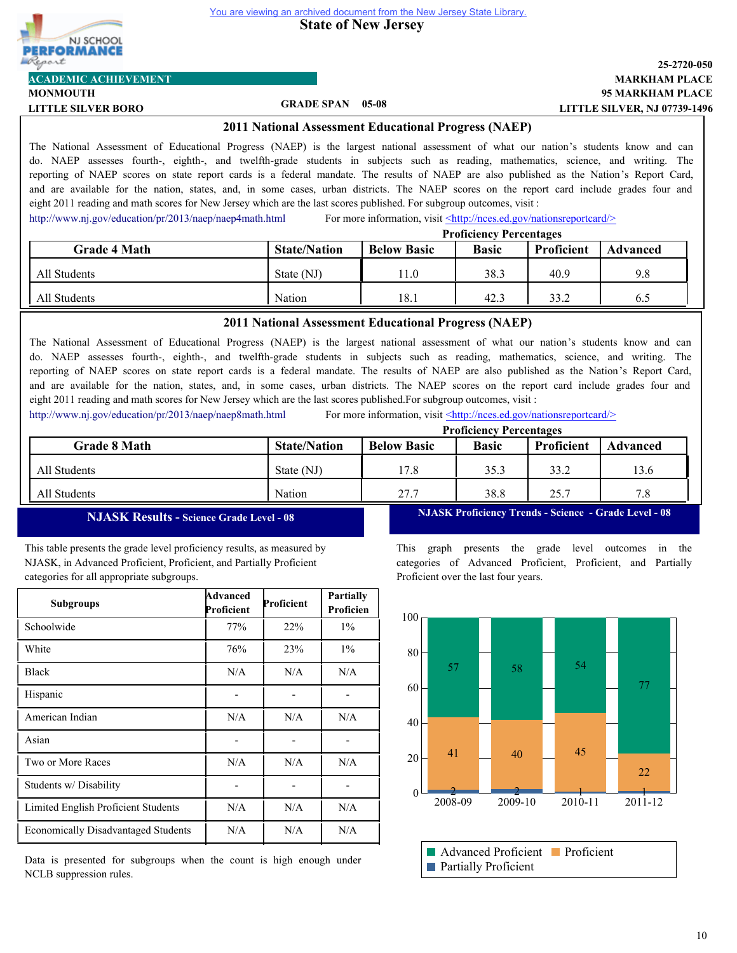



#### **MONMOUTH ACADEMIC ACHIEVEMENT**

# **LITTLE SILVER BORO GRADE SPAN 05-08**

## **95 MARKHAM PLACE MARKHAM PLACE 25-2720-050 LITTLE SILVER, NJ 07739-1496**

#### **2011 National Assessment Educational Progress (NAEP)**

The National Assessment of Educational Progress (NAEP) is the largest national assessment of what our nation's students know and can do. NAEP assesses fourth-, eighth-, and twelfth-grade students in subjects such as reading, mathematics, science, and writing. The reporting of NAEP scores on state report cards is a federal mandate. The results of NAEP are also published as the Nation's Report Card, and are available for the nation, states, and, in some cases, urban districts. The NAEP scores on the report card include grades four and eight 2011 reading and math scores for New Jersey which are the last scores published. For subgroup outcomes, visit :

<http://www.nj.gov/education/pr/2013/naep/naep4math.html> For more information, visit  $\leq$ http://nces.ed.gov/nationsreportcard/>

|                     | <b>Proficiency Percentages</b> |                    |              |            |                 |
|---------------------|--------------------------------|--------------------|--------------|------------|-----------------|
| <b>Grade 4 Math</b> | <b>State/Nation</b>            | <b>Below Basic</b> | <b>Basic</b> | Proficient | <b>Advanced</b> |
| All Students        | State (NJ)                     | 11.0               | 38.3         | 40.9       | 9.8             |
| All Students        | Nation                         | 18.1               | 42.3         | 33.2       | 6.5             |

### **2011 National Assessment Educational Progress (NAEP)**

The National Assessment of Educational Progress (NAEP) is the largest national assessment of what our nation's students know and can do. NAEP assesses fourth-, eighth-, and twelfth-grade students in subjects such as reading, mathematics, science, and writing. The reporting of NAEP scores on state report cards is a federal mandate. The results of NAEP are also published as the Nation's Report Card, and are available for the nation, states, and, in some cases, urban districts. The NAEP scores on the report card include grades four and eight 2011 reading and math scores for New Jersey which are the last scores published.For subgroup outcomes, visit :

<http://www.nj.gov/education/pr/2013/naep/naep8math.html> For more information, visit <http://nces.ed.gov/nationsreportcard/>

|                     |                     |                    | <b>Proficiency Percentages</b> |                   |          |
|---------------------|---------------------|--------------------|--------------------------------|-------------------|----------|
| <b>Grade 8 Math</b> | <b>State/Nation</b> | <b>Below Basic</b> | <b>Basic</b>                   | <b>Proficient</b> | Advanced |
| All Students        | State (NJ)          | 17.8               | 35.3                           | 33.2              | 13.6     |
| All Students        | Nation              | 27.7               | 38.8                           | 25.7              | 7.8      |

# **NJASK Results - Science Grade Level - 08**

This table presents the grade level proficiency results, as measured by NJASK, in Advanced Proficient, Proficient, and Partially Proficient categories for all appropriate subgroups.

| <b>Subgroups</b>                           | Advanced<br>Proficient | Proficient | Partially<br>Proficien |
|--------------------------------------------|------------------------|------------|------------------------|
| Schoolwide                                 | 77%                    | 22%        | $1\%$                  |
| White                                      | 76%                    | 23%        | $1\%$                  |
| <b>Black</b>                               | N/A                    | N/A        | N/A                    |
| Hispanic                                   |                        |            |                        |
| American Indian                            | N/A                    | N/A        | N/A                    |
| Asian                                      |                        |            |                        |
| Two or More Races                          | N/A                    | N/A        | N/A                    |
| Students w/ Disability                     |                        |            |                        |
| Limited English Proficient Students        | N/A                    | N/A        | N/A                    |
| <b>Economically Disadvantaged Students</b> | N/A                    | N/A        | N/A                    |

Data is presented for subgroups when the count is high enough under NCLB suppression rules.

**NJASK Proficiency Trends - Science - Grade Level - 08**

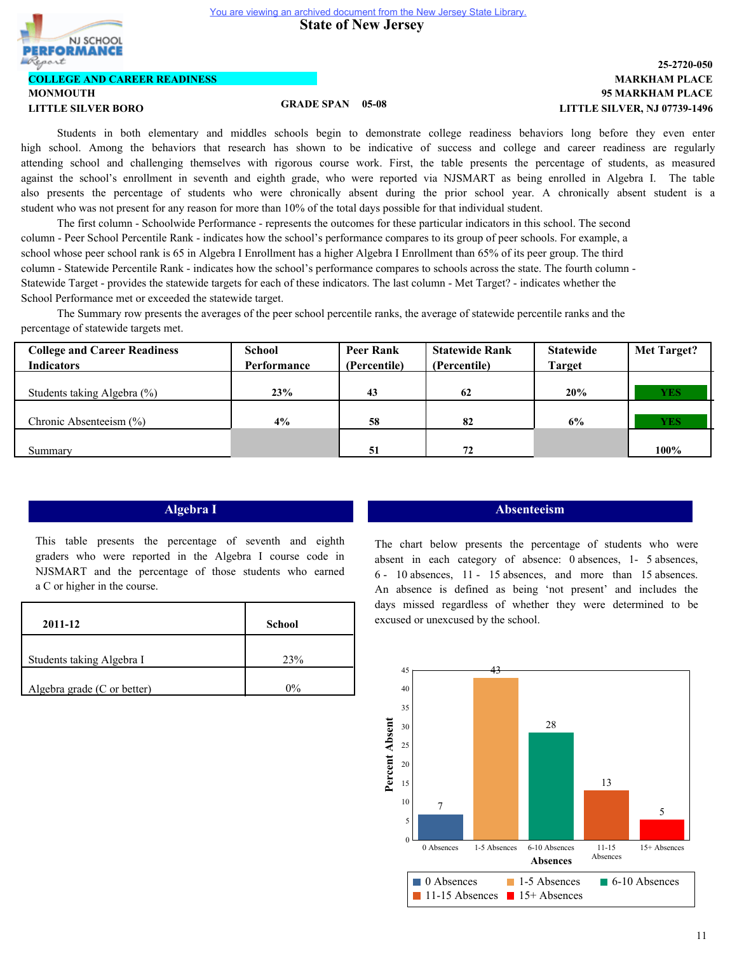**State of New Jersey** 



# **COLLEGE AND CAREER READINESS**

**MONMOUTH LITTLE SILVER BORO GRADE SPAN 05-08**

# **95 MARKHAM PLACE MARKHAM PLACE 25-2720-050 LITTLE SILVER, NJ 07739-1496**

Students in both elementary and middles schools begin to demonstrate college readiness behaviors long before they even enter high school. Among the behaviors that research has shown to be indicative of success and college and career readiness are regularly attending school and challenging themselves with rigorous course work. First, the table presents the percentage of students, as measured against the school's enrollment in seventh and eighth grade, who were reported via NJSMART as being enrolled in Algebra I. The table also presents the percentage of students who were chronically absent during the prior school year. A chronically absent student is a student who was not present for any reason for more than 10% of the total days possible for that individual student.

The first column - Schoolwide Performance - represents the outcomes for these particular indicators in this school. The second column - Peer School Percentile Rank - indicates how the school's performance compares to its group of peer schools. For example, a school whose peer school rank is 65 in Algebra I Enrollment has a higher Algebra I Enrollment than 65% of its peer group. The third column - Statewide Percentile Rank - indicates how the school's performance compares to schools across the state. The fourth column - Statewide Target - provides the statewide targets for each of these indicators. The last column - Met Target? - indicates whether the School Performance met or exceeded the statewide target.

The Summary row presents the averages of the peer school percentile ranks, the average of statewide percentile ranks and the percentage of statewide targets met.

| <b>College and Career Readiness</b> | School      | <b>Peer Rank</b> | <b>Statewide Rank</b> | <b>Statewide</b> | <b>Met Target?</b> |
|-------------------------------------|-------------|------------------|-----------------------|------------------|--------------------|
| <b>Indicators</b>                   | Performance | (Percentile)     | (Percentile)          | <b>Target</b>    |                    |
|                                     |             |                  |                       |                  |                    |
| Students taking Algebra (%)         | 23%         | 43               | 62                    | 20%              | <b>YES</b>         |
|                                     |             |                  |                       |                  |                    |
| Chronic Absenteeism $(\% )$         | 4%          | 58               | 82                    | 6%               | <b>YES</b>         |
|                                     |             |                  |                       |                  |                    |
| Summary                             |             | 51               | 72                    |                  | 100%               |

This table presents the percentage of seventh and eighth graders who were reported in the Algebra I course code in NJSMART and the percentage of those students who earned a C or higher in the course.

| 2011-12                     | School |
|-----------------------------|--------|
| Students taking Algebra I   | 23%    |
| Algebra grade (C or better) | $0\%$  |

## **Algebra I Absenteeism**

The chart below presents the percentage of students who were absent in each category of absence: 0 absences, 1- 5 absences, 6 - 10 absences, 11 - 15 absences, and more than 15 absences. An absence is defined as being 'not present' and includes the days missed regardless of whether they were determined to be excused or unexcused by the school.

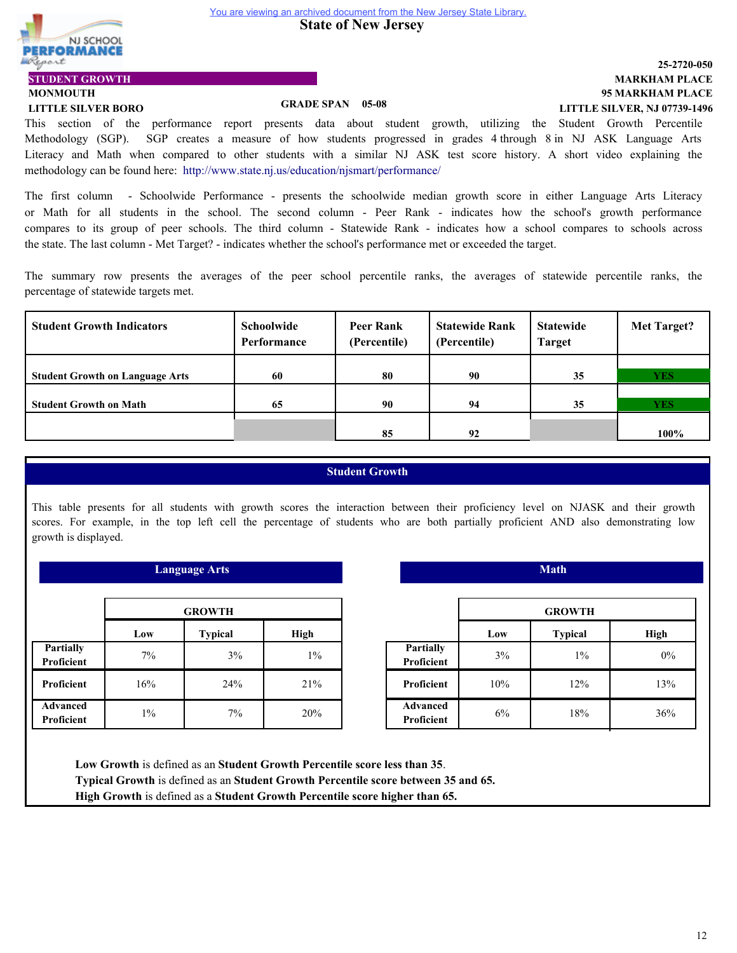**State of New Jersey** 



# **MONMOUTH STUDENT GROWTH**

# **LITTLE SILVER BORO GRADE SPAN 05-08**

# **95 MARKHAM PLACE MARKHAM PLACE 25-2720-050 LITTLE SILVER, NJ 07739-1496**

This section of the performance report presents data about student growth, utilizing the Student Growth Percentile Methodology (SGP). SGP creates a measure of how students progressed in grades 4 through 8 in NJ ASK Language Arts Literacy and Math when compared to other students with a similar NJ ASK test score history. A short video explaining the methodology can be found here: http://www.state.nj.us/education/njsmart/performance/

The first column - Schoolwide Performance - presents the schoolwide median growth score in either Language Arts Literacy or Math for all students in the school. The second column - Peer Rank - indicates how the school's growth performance compares to its group of peer schools. The third column - Statewide Rank - indicates how a school compares to schools across the state. The last column - Met Target? - indicates whether the school's performance met or exceeded the target.

The summary row presents the averages of the peer school percentile ranks, the averages of statewide percentile ranks, the percentage of statewide targets met.

| <b>Student Growth Indicators</b>       | Schoolwide<br>Performance | <b>Peer Rank</b><br>(Percentile) | <b>Statewide Rank</b><br>(Percentile) | <b>Statewide</b><br><b>Target</b> | <b>Met Target?</b> |
|----------------------------------------|---------------------------|----------------------------------|---------------------------------------|-----------------------------------|--------------------|
|                                        |                           |                                  |                                       |                                   |                    |
| <b>Student Growth on Language Arts</b> | 60                        | 80                               | 90                                    | 35                                | <b>YES</b>         |
|                                        |                           |                                  |                                       |                                   |                    |
| <b>Student Growth on Math</b>          | 65                        | 90                               | 94                                    | 35                                | <b>YES</b>         |
|                                        |                           |                                  |                                       |                                   |                    |
|                                        |                           | 85                               | 92                                    |                                   | 100%               |

# **Student Growth**

This table presents for all students with growth scores the interaction between their proficiency level on NJASK and their growth scores. For example, in the top left cell the percentage of students who are both partially proficient AND also demonstrating low growth is displayed.

| <b>Language Arts</b>           |                               |     |       |  |  |  |
|--------------------------------|-------------------------------|-----|-------|--|--|--|
| <b>GROWTH</b>                  |                               |     |       |  |  |  |
|                                | <b>Typical</b><br>High<br>Low |     |       |  |  |  |
| <b>Partially</b><br>Proficient | 7%                            | 3%  | $1\%$ |  |  |  |
| Proficient                     | 16%                           | 24% | 21%   |  |  |  |
| <b>Advanced</b><br>Proficient  | $1\%$                         | 7%  | 20%   |  |  |  |

|                                | <b>Math</b> |                |             |  |
|--------------------------------|-------------|----------------|-------------|--|
|                                |             | <b>GROWTH</b>  |             |  |
|                                | Low         | <b>Typical</b> | <b>High</b> |  |
| <b>Partially</b><br>Proficient | 3%          | $1\%$          | $0\%$       |  |
| Proficient                     | 10%         | 12%            | 13%         |  |
| <b>Advanced</b><br>Proficient  | 6%          | 18%            | 36%         |  |

**Low Growth** is defined as an **Student Growth Percentile score less than 35**. **Typical Growth** is defined as an **Student Growth Percentile score between 35 and 65. High Growth** is defined as a **Student Growth Percentile score higher than 65.**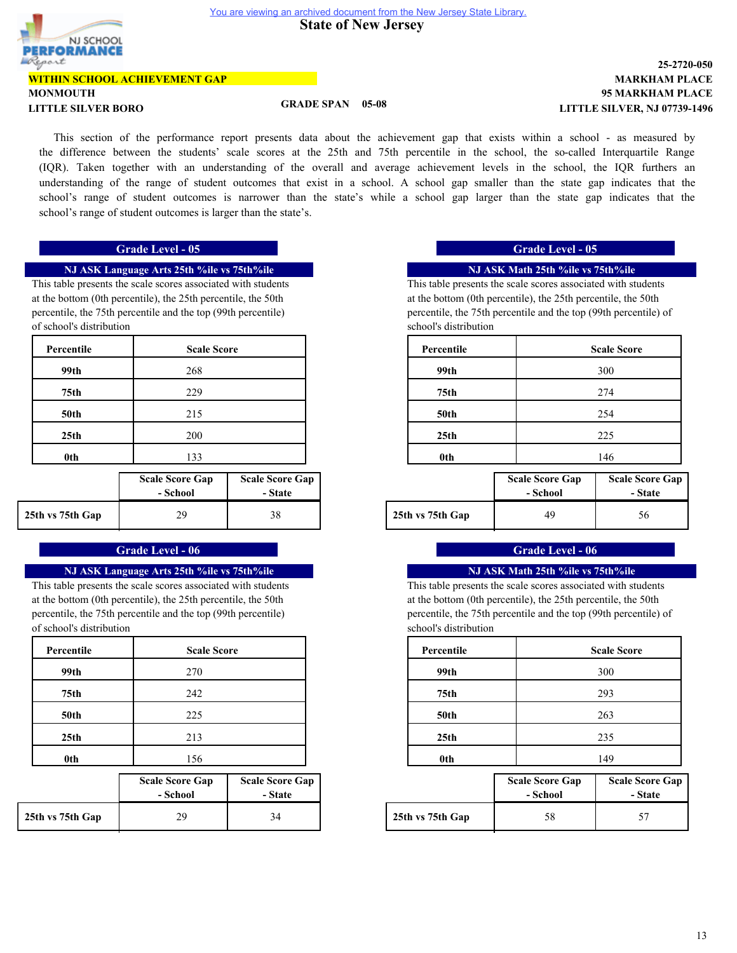NJ SCHOOL FORMANCE port

#### **WITHIN SCHOOL ACHIEVEMENT GAP**

# **MONMOUTH**

**LITTLE SILVER BORO GRADE SPAN 05-08**

# **95 MARKHAM PLACE MARKHAM PLACE 25-2720-050 LITTLE SILVER, NJ 07739-1496**

This section of the performance report presents data about the achievement gap that exists within a school - as measured by the difference between the students' scale scores at the 25th and 75th percentile in the school, the so-called Interquartile Range (IQR). Taken together with an understanding of the overall and average achievement levels in the school, the IQR furthers an understanding of the range of student outcomes that exist in a school. A school gap smaller than the state gap indicates that the school's range of student outcomes is narrower than the state's while a school gap larger than the state gap indicates that the school's range of student outcomes is larger than the state's.

#### **NJ ASK Language Arts 25th %ile vs 75th%ile**

This table presents the scale scores associated with students at the bottom (0th percentile), the 25th percentile, the 50th percentile, the 75th percentile and the top (99th percentile) of school's distribution

| Percentile       | <b>Scale Score</b> |
|------------------|--------------------|
| 99th             | 268                |
| 75th             | 229                |
| 50th             | 215                |
| 25 <sub>th</sub> | 200                |
| 0 <sub>th</sub>  | 133                |
|                  |                    |

|                  | <b>Scale Score Gap</b><br>- School | <b>Scale Score Gap</b><br>- State |                  | <b>Scale Score Gap</b><br>- School | <b>Scale Sco</b><br>- St: |
|------------------|------------------------------------|-----------------------------------|------------------|------------------------------------|---------------------------|
| 25th vs 75th Gap | 29                                 | 38                                | 25th vs 75th Gap | 49                                 | 56                        |

# **Grade Level - 06 Grade Level - 06 Grade Level - 06**

#### **NJ ASK Language Arts 25th %ile vs 75th%ile**

This table presents the scale scores associated with students at the bottom (0th percentile), the 25th percentile, the 50th percentile, the 75th percentile and the top (99th percentile) of school's distribution

| Percentile       | <b>Scale Score</b> |
|------------------|--------------------|
| 99th             | 270                |
| 75 <sub>th</sub> | 242                |
| 50th             | 225                |
| 25 <sub>th</sub> | 213                |
| 0th              | 156                |

|                  | <b>Scale Score Gap</b><br>- School | <b>Scale Score Gap</b><br>- State |                  | <b>Scale Score Gap</b><br>- School | <b>Scale Sco</b><br>- St: |
|------------------|------------------------------------|-----------------------------------|------------------|------------------------------------|---------------------------|
| 25th vs 75th Gap | 29                                 | 34                                | 25th vs 75th Gap | 58                                 | 57                        |

# **Grade Level - 05 Grade Level - 05**

## **NJ ASK Math 25th %ile vs 75th%ile**

This table presents the scale scores associated with students at the bottom (0th percentile), the 25th percentile, the 50th percentile, the 75th percentile and the top (99th percentile) of school's distribution

| <b>Scale Score</b> | Percentile       | <b>Scale Score</b> |
|--------------------|------------------|--------------------|
| 268                | 99th             | 300                |
| 229                | 75th             | 274                |
| 215                | <b>50th</b>      | 254                |
| 200                | 25 <sub>th</sub> | 225                |
| 133                | 0th              | 146                |

| core Gap<br>:hool | <b>Scale Score Gap</b><br>- State |                  | <b>Scale Score Gap</b><br>- School | <b>Scale Score Gap</b><br>- State |
|-------------------|-----------------------------------|------------------|------------------------------------|-----------------------------------|
| 29                | 38                                | 25th vs 75th Gap | 49                                 | 56                                |

# **NJ ASK Math 25th %ile vs 75th%ile**

This table presents the scale scores associated with students at the bottom (0th percentile), the 25th percentile, the 50th percentile, the 75th percentile and the top (99th percentile) of school's distribution

| <b>Scale Score</b> | Percentile       | <b>Scale Score</b> |
|--------------------|------------------|--------------------|
| 270                | 99th             | 300                |
| 242                | 75th             | 293                |
| 225                | <b>50th</b>      | 263                |
| 213                | 25 <sub>th</sub> | 235                |
| 156                | 0th              | 149                |

| core Gap<br>:hool | <b>Scale Score Gap</b><br>- State |                  | <b>Scale Score Gap</b><br>- School | <b>Scale Score Gap</b><br>- State |
|-------------------|-----------------------------------|------------------|------------------------------------|-----------------------------------|
| 29                | 34                                | 25th vs 75th Gap | 58                                 |                                   |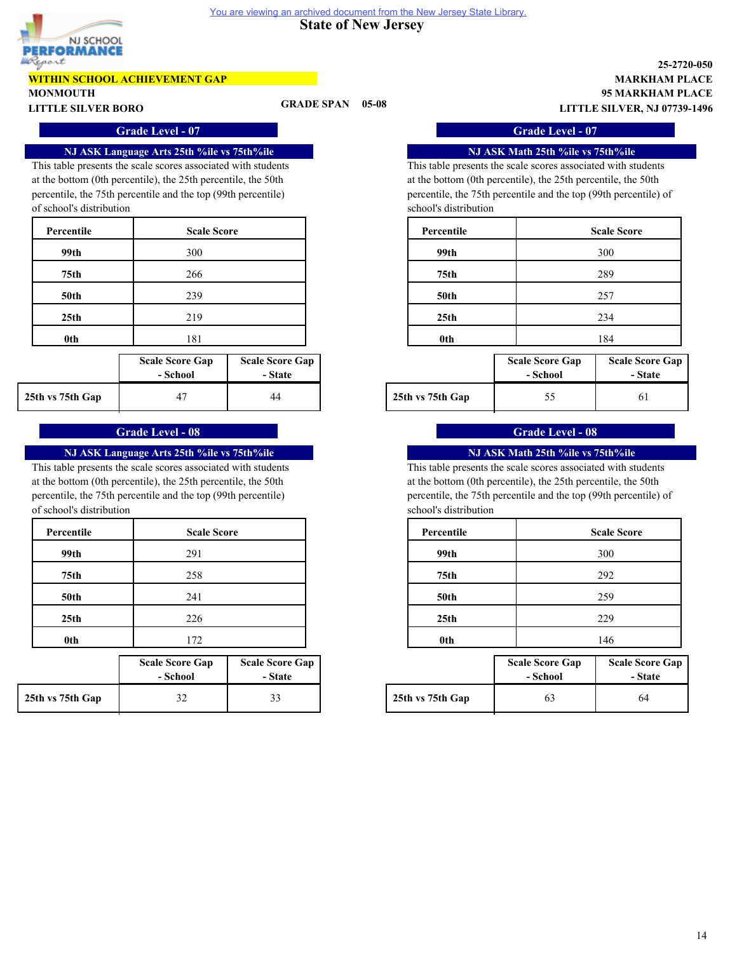

# **WITHIN SCHOOL ACHIEVEMENT GAP**

**MONMOUTH**

**LITTLE SILVER BORO GRADE SPAN 05-08**

**95 MARKHAM PLACE MARKHAM PLACE 25-2720-050 LITTLE SILVER, NJ 07739-1496**

#### **NJ ASK Language Arts 25th %ile vs 75th%ile**

This table presents the scale scores associated with students at the bottom (0th percentile), the 25th percentile, the 50th percentile, the 75th percentile and the top (99th percentile) of school's distribution

| Percentile       | <b>Scale Score</b> |
|------------------|--------------------|
| 99th             | 300                |
| 75 <sub>th</sub> | 266                |
| <b>50th</b>      | 239                |
| 25 <sub>th</sub> | 219                |
| 0th              | 181                |

|                  | <b>Scale Score Gap</b><br>- School | <b>Scale Score Gap</b><br>- State |                  | <b>Scale Score Gap</b><br>- School | <b>Scale Sco</b><br>- St: |
|------------------|------------------------------------|-----------------------------------|------------------|------------------------------------|---------------------------|
| 25th vs 75th Gap |                                    | 44                                | 25th vs 75th Gap | ں ر                                | 61                        |

# **Grade Level - 08 Grade Level - 08**

# **NJ ASK Language Arts 25th %ile vs 75th%ile**

This table presents the scale scores associated with students at the bottom (0th percentile), the 25th percentile, the 50th percentile, the 75th percentile and the top (99th percentile) of school's distribution

| Percentile       | <b>Scale Score</b> |
|------------------|--------------------|
| 99th             | 291                |
| 75 <sub>th</sub> | 258                |
| 50th             | 241                |
| 25 <sub>th</sub> | 226                |
| 0th              | 172                |

|                  | <b>Scale Score Gap</b><br>- School | <b>Scale Score Gap</b><br>- State |                  | <b>Scale Score Gap</b><br>- School | <b>Scale Sco</b><br>- St: |
|------------------|------------------------------------|-----------------------------------|------------------|------------------------------------|---------------------------|
| 25th vs 75th Gap | ے ر                                | 33                                | 25th vs 75th Gap | 63                                 | 64                        |

**Grade Level - 07 Grade Level - 07**

## **NJ ASK Math 25th %ile vs 75th%ile**

This table presents the scale scores associated with students at the bottom (0th percentile), the 25th percentile, the 50th percentile, the 75th percentile and the top (99th percentile) of school's distribution

| Percentile       | <b>Scale Score</b> |
|------------------|--------------------|
| 99th             | 300                |
| 75th             | 289                |
| <b>50th</b>      | 257                |
| 25 <sub>th</sub> | 234                |
| 0th              | 184                |
|                  |                    |

| core Gap<br>:hool | <b>Scale Score Gap</b><br>- State |                  | <b>Scale Score Gap</b><br>- School | <b>Scale Score Gap</b><br>- State |
|-------------------|-----------------------------------|------------------|------------------------------------|-----------------------------------|
| 47                | 44                                | 25th vs 75th Gap |                                    |                                   |

# **NJ ASK Math 25th %ile vs 75th%ile**

This table presents the scale scores associated with students at the bottom (0th percentile), the 25th percentile, the 50th percentile, the 75th percentile and the top (99th percentile) of school's distribution

| <b>Scale Score</b> | Percentile       | <b>Scale Score</b> |
|--------------------|------------------|--------------------|
| 291                | 99th             | 300                |
| 258                | 75th             | 292                |
| 241                | <b>50th</b>      | 259                |
| 226                | 25 <sub>th</sub> | 229                |
| 172                | 0th              | 146                |

| core Gap | <b>Scale Score Gap</b> |  |                  | <b>Scale Score Gap</b> | <b>Scale Score Gap</b> |  |
|----------|------------------------|--|------------------|------------------------|------------------------|--|
| :hool    | - State                |  |                  | - School               | - State                |  |
| 32       |                        |  | 25th vs 75th Gap | O.                     | 64                     |  |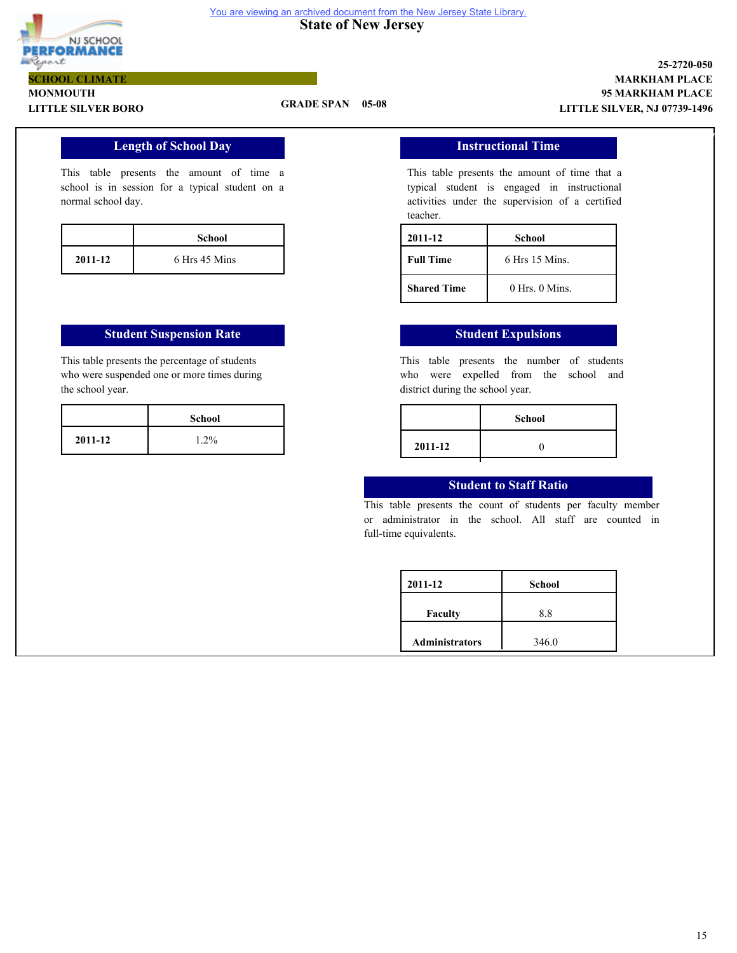

#### **State of New Jersey**  You are viewing an archived document from the New Jersey State Library.

#### **MONMOUTH LITTLE SILVER BORO GRADE SPAN 05-08 SCHOOL CLIMATE**

### **95 MARKHAM PLACE MARKHAM PLACE 25-2720-050 LITTLE SILVER, NJ 07739-1496**

7

# **Length of School Day**

This table presents the amount of time a school is in session for a typical student on a normal school day.

|         | School        |
|---------|---------------|
| 2011-12 | 6 Hrs 45 Mins |

### **Student Suspension Rate Student Expulsions**

This table presents the percentage of students who were suspended one or more times during the school year.

### **Instructional Time**

This table presents the amount of time that a typical student is engaged in instructional activities under the supervision of a certified teacher.

| 2011-12            | School             |
|--------------------|--------------------|
| <b>Full Time</b>   | $6$ Hrs 15 Mins.   |
| <b>Shared Time</b> | $0$ Hrs. $0$ Mins. |

This table presents the number of students who were expelled from the school and district during the school year.

| School |         | <b>School</b> |
|--------|---------|---------------|
| 1.2%   | 2011-12 |               |
|        |         |               |

## **Student to Staff Ratio**

This table presents the count of students per faculty member or administrator in the school. All staff are counted in full-time equivalents.

| 2011-12               | School |
|-----------------------|--------|
| <b>Faculty</b>        | 8.8    |
| <b>Administrators</b> | 346.0  |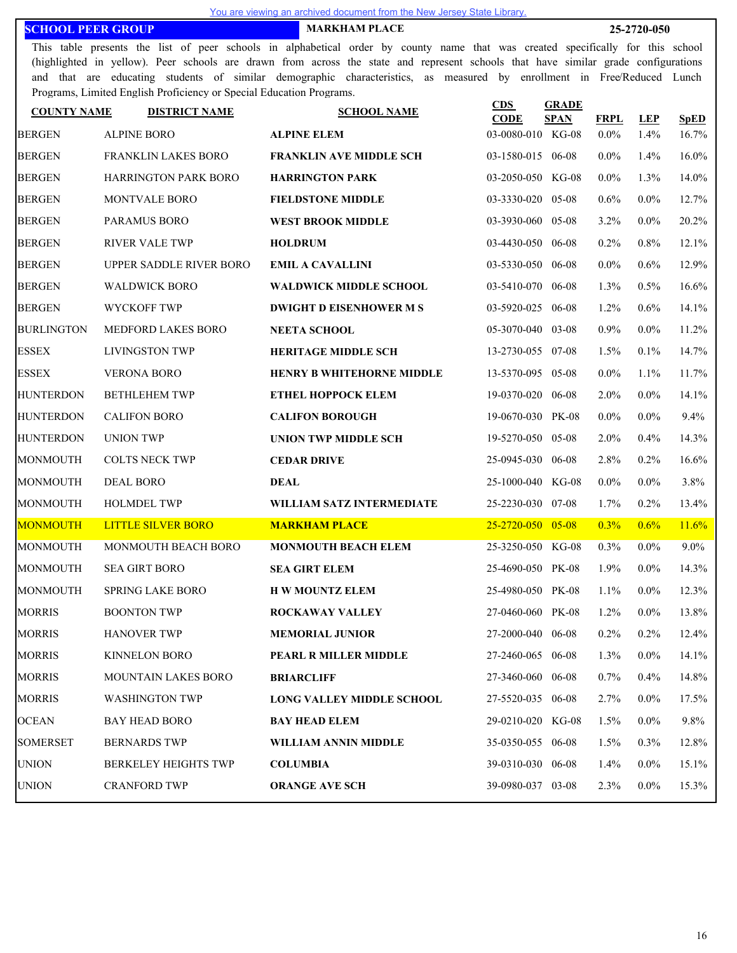**SCHOOL PEER GROUP MARKHAM PLACE 25-2720-050**

This table presents the list of peer schools in alphabetical order by county name that was created specifically for this school (highlighted in yellow). Peer schools are drawn from across the state and represent schools that have similar grade configurations and that are educating students of similar demographic characteristics, as measured by enrollment in Free/Reduced Lunch Programs, Limited English Proficiency or Special Education Programs.

| <b>COUNTY NAME</b> | <b>DISTRICT NAME</b>        | <b>SCHOOL NAME</b>               | CDS<br><b>CODE</b> | <b>GRADE</b><br><b>SPAN</b> | <b>FRPL</b> | <b>LEP</b> | <b>SpED</b> |
|--------------------|-----------------------------|----------------------------------|--------------------|-----------------------------|-------------|------------|-------------|
| <b>BERGEN</b>      | <b>ALPINE BORO</b>          | <b>ALPINE ELEM</b>               | 03-0080-010 KG-08  |                             | $0.0\%$     | 1.4%       | 16.7%       |
| <b>BERGEN</b>      | <b>FRANKLIN LAKES BORO</b>  | <b>FRANKLIN AVE MIDDLE SCH</b>   | 03-1580-015 06-08  |                             | $0.0\%$     | 1.4%       | $16.0\%$    |
| <b>BERGEN</b>      | <b>HARRINGTON PARK BORO</b> | <b>HARRINGTON PARK</b>           | 03-2050-050 KG-08  |                             | $0.0\%$     | 1.3%       | 14.0%       |
| <b>BERGEN</b>      | <b>MONTVALE BORO</b>        | <b>FIELDSTONE MIDDLE</b>         | 03-3330-020 05-08  |                             | 0.6%        | $0.0\%$    | 12.7%       |
| <b>BERGEN</b>      | PARAMUS BORO                | <b>WEST BROOK MIDDLE</b>         | 03-3930-060        | 05-08                       | 3.2%        | $0.0\%$    | 20.2%       |
| <b>BERGEN</b>      | <b>RIVER VALE TWP</b>       | <b>HOLDRUM</b>                   | 03-4430-050 06-08  |                             | 0.2%        | 0.8%       | 12.1%       |
| <b>BERGEN</b>      | UPPER SADDLE RIVER BORO     | <b>EMIL A CAVALLINI</b>          | 03-5330-050        | 06-08                       | $0.0\%$     | 0.6%       | 12.9%       |
| <b>BERGEN</b>      | <b>WALDWICK BORO</b>        | <b>WALDWICK MIDDLE SCHOOL</b>    | 03-5410-070 06-08  |                             | 1.3%        | 0.5%       | 16.6%       |
| <b>BERGEN</b>      | WYCKOFF TWP                 | <b>DWIGHT D EISENHOWER M S</b>   | 03-5920-025        | 06-08                       | 1.2%        | 0.6%       | 14.1%       |
| <b>BURLINGTON</b>  | MEDFORD LAKES BORO          | <b>NEETA SCHOOL</b>              | 05-3070-040 03-08  |                             | 0.9%        | $0.0\%$    | 11.2%       |
| <b>ESSEX</b>       | <b>LIVINGSTON TWP</b>       | <b>HERITAGE MIDDLE SCH</b>       | 13-2730-055 07-08  |                             | 1.5%        | $0.1\%$    | 14.7%       |
| <b>ESSEX</b>       | <b>VERONA BORO</b>          | <b>HENRY B WHITEHORNE MIDDLE</b> | 13-5370-095 05-08  |                             | $0.0\%$     | $1.1\%$    | 11.7%       |
| <b>HUNTERDON</b>   | <b>BETHLEHEM TWP</b>        | <b>ETHEL HOPPOCK ELEM</b>        | 19-0370-020 06-08  |                             | $2.0\%$     | $0.0\%$    | 14.1%       |
| <b>HUNTERDON</b>   | <b>CALIFON BORO</b>         | <b>CALIFON BOROUGH</b>           | 19-0670-030 PK-08  |                             | $0.0\%$     | $0.0\%$    | 9.4%        |
| <b>HUNTERDON</b>   | <b>UNION TWP</b>            | UNION TWP MIDDLE SCH             | 19-5270-050 05-08  |                             | $2.0\%$     | 0.4%       | 14.3%       |
| <b>MONMOUTH</b>    | <b>COLTS NECK TWP</b>       | <b>CEDAR DRIVE</b>               | 25-0945-030 06-08  |                             | 2.8%        | 0.2%       | 16.6%       |
| <b>MONMOUTH</b>    | <b>DEAL BORO</b>            | <b>DEAL</b>                      | 25-1000-040 KG-08  |                             | $0.0\%$     | $0.0\%$    | 3.8%        |
| <b>MONMOUTH</b>    | <b>HOLMDEL TWP</b>          | WILLIAM SATZ INTERMEDIATE        | 25-2230-030 07-08  |                             | $1.7\%$     | 0.2%       | 13.4%       |
| <b>MONMOUTH</b>    | <b>LITTLE SILVER BORO</b>   | <b>MARKHAM PLACE</b>             | 25-2720-050        | $05 - 08$                   | 0.3%        | 0.6%       | 11.6%       |
| <b>MONMOUTH</b>    | MONMOUTH BEACH BORO         | <b>MONMOUTH BEACH ELEM</b>       | 25-3250-050 KG-08  |                             | $0.3\%$     | $0.0\%$    | $9.0\%$     |
| <b>MONMOUTH</b>    | <b>SEA GIRT BORO</b>        | <b>SEA GIRT ELEM</b>             | 25-4690-050 PK-08  |                             | 1.9%        | $0.0\%$    | 14.3%       |
| MONMOUTH           | SPRING LAKE BORO            | <b>H W MOUNTZ ELEM</b>           | 25-4980-050 PK-08  |                             | 1.1%        | $0.0\%$    | 12.3%       |
| <b>MORRIS</b>      | <b>BOONTON TWP</b>          | <b>ROCKAWAY VALLEY</b>           | 27-0460-060 PK-08  |                             | 1.2%        | $0.0\%$    | 13.8%       |
| <b>MORRIS</b>      | <b>HANOVER TWP</b>          | <b>MEMORIAL JUNIOR</b>           | 27-2000-040 06-08  |                             | 0.2%        | 0.2%       | 12.4%       |
| <b>MORRIS</b>      | KINNELON BORO               | PEARL R MILLER MIDDLE            | 27-2460-065 06-08  |                             | 1.3%        | $0.0\%$    | 14.1%       |
| <b>MORRIS</b>      | <b>MOUNTAIN LAKES BORO</b>  | <b>BRIARCLIFF</b>                | 27-3460-060 06-08  |                             | 0.7%        | 0.4%       | 14.8%       |
| <b>MORRIS</b>      | <b>WASHINGTON TWP</b>       | <b>LONG VALLEY MIDDLE SCHOOL</b> | 27-5520-035 06-08  |                             | 2.7%        | $0.0\%$    | 17.5%       |
| <b>OCEAN</b>       | <b>BAY HEAD BORO</b>        | <b>BAY HEAD ELEM</b>             | 29-0210-020 KG-08  |                             | 1.5%        | $0.0\%$    | 9.8%        |
| <b>SOMERSET</b>    | <b>BERNARDS TWP</b>         | WILLIAM ANNIN MIDDLE             | 35-0350-055 06-08  |                             | $1.5\%$     | $0.3\%$    | 12.8%       |
| <b>UNION</b>       | <b>BERKELEY HEIGHTS TWP</b> | <b>COLUMBIA</b>                  | 39-0310-030 06-08  |                             | $1.4\%$     | $0.0\%$    | 15.1%       |
| <b>UNION</b>       | <b>CRANFORD TWP</b>         | <b>ORANGE AVE SCH</b>            | 39-0980-037 03-08  |                             | 2.3%        | $0.0\%$    | 15.3%       |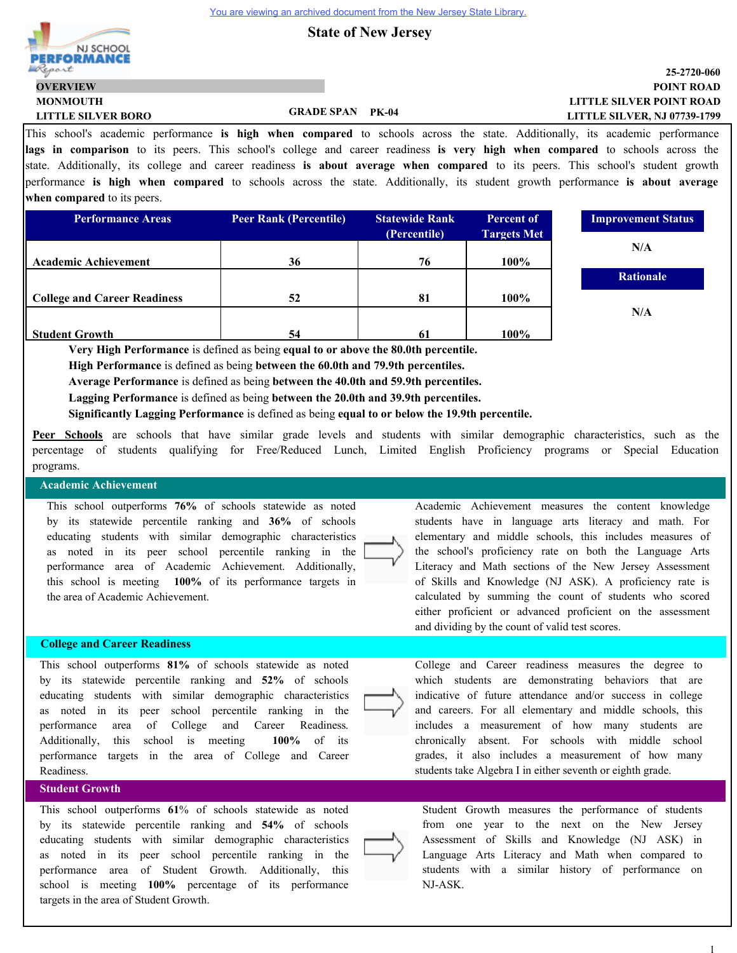**State of New Jersey**



### **LITTLE SILVER POINT ROAD POINT ROAD 25-2720-060 LITTLE SILVER, NJ 07739-1799**

This school's academic performance **is high when compared** to schools across the state. Additionally, its academic performance **lags in comparison** to its peers. This school's college and career readiness **is very high when compared** to schools across the state. Additionally, its college and career readiness **is about average when compared** to its peers. This school's student growth performance **is high when compared** to schools across the state. Additionally, its student growth performance **is about average when compared** to its peers.

| <b>Performance Areas</b>            | <b>Peer Rank (Percentile)</b> | <b>Statewide Rank</b> | <b>Percent of</b>  | <b>Improvement Status</b> |
|-------------------------------------|-------------------------------|-----------------------|--------------------|---------------------------|
|                                     |                               | (Percentile)          | <b>Targets Met</b> |                           |
|                                     |                               |                       |                    | N/A                       |
| <b>Academic Achievement</b>         | 36                            | 76                    | $100\%$            |                           |
|                                     |                               |                       |                    | <b>Rationale</b>          |
| <b>College and Career Readiness</b> | 52                            | 81                    | $100\%$            |                           |
|                                     |                               |                       |                    | N/A                       |
| <b>Student Growth</b>               | 54                            |                       | 100%               |                           |

**Very High Performance** is defined as being **equal to or above the 80.0th percentile.**

**High Performance** is defined as being **between the 60.0th and 79.9th percentiles.**

**Average Performance** is defined as being **between the 40.0th and 59.9th percentiles.**

**Lagging Performance** is defined as being **between the 20.0th and 39.9th percentiles.**

**Significantly Lagging Performance** is defined as being **equal to or below the 19.9th percentile.**

**Peer Schools** are schools that have similar grade levels and students with similar demographic characteristics, such as the percentage of students qualifying for Free/Reduced Lunch, Limited English Proficiency programs or Special Education programs.

## **Academic Achievement**

This school outperforms **76%** of schools statewide as noted by its statewide percentile ranking and **36%** of schools educating students with similar demographic characteristics as noted in its peer school percentile ranking in the performance area of Academic Achievement. Additionally, this school is meeting **100%** of its performance targets in the area of Academic Achievement.

#### **College and Career Readiness**

This school outperforms **81%** of schools statewide as noted by its statewide percentile ranking and **52%** of schools educating students with similar demographic characteristics as noted in its peer school percentile ranking in the performance area of College and Career Readiness. Additionally, this school is meeting **100%** of its performance targets in the area of College and Career Readiness.

## **Student Growth**

This school outperforms **61**% of schools statewide as noted by its statewide percentile ranking and **54%** of schools educating students with similar demographic characteristics as noted in its peer school percentile ranking in the performance area of Student Growth. Additionally, this school is meeting **100%** percentage of its performance targets in the area of Student Growth.

Academic Achievement measures the content knowledge students have in language arts literacy and math. For elementary and middle schools, this includes measures of the school's proficiency rate on both the Language Arts Literacy and Math sections of the New Jersey Assessment of Skills and Knowledge (NJ ASK). A proficiency rate is calculated by summing the count of students who scored either proficient or advanced proficient on the assessment and dividing by the count of valid test scores.



College and Career readiness measures the degree to which students are demonstrating behaviors that are indicative of future attendance and/or success in college and careers. For all elementary and middle schools, this includes a measurement of how many students are chronically absent. For schools with middle school grades, it also includes a measurement of how many students take Algebra I in either seventh or eighth grade.



Student Growth measures the performance of students from one year to the next on the New Jersey Assessment of Skills and Knowledge (NJ ASK) in Language Arts Literacy and Math when compared to students with a similar history of performance on NJ-ASK.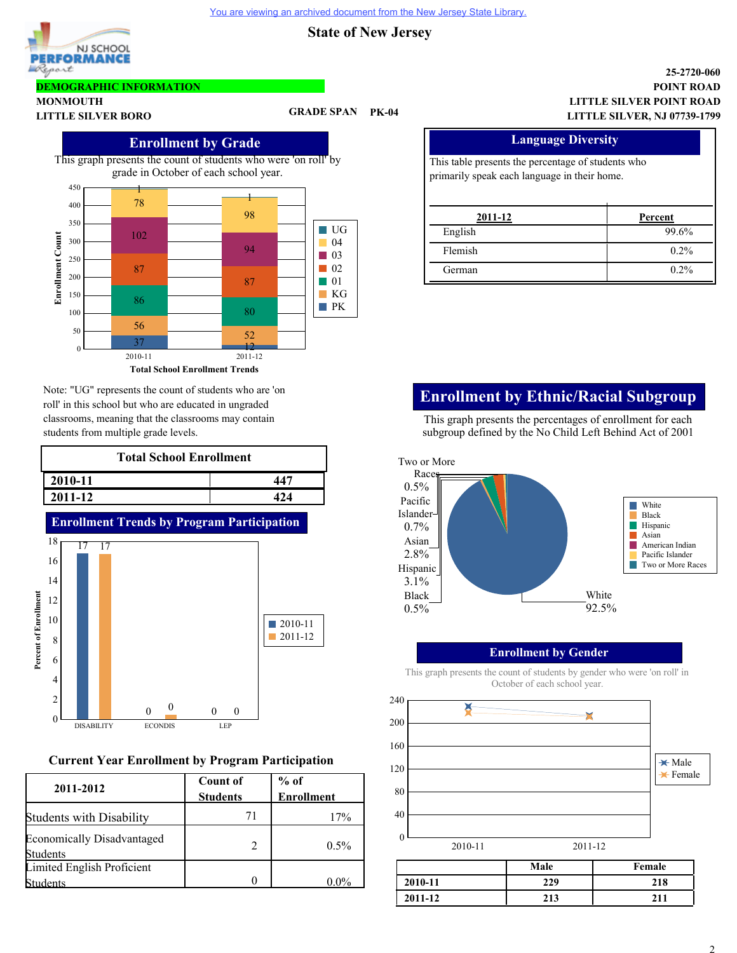NJ SCHOOL **PERFORMANCE** Report

## **DEMOGRAPHIC INFORMATION**

**MONMOUTH**

**LITTLE SILVER BORO GRADE SPAN PK-04**

# **Enrollment by Grade**

This graph presents the count of students who were 'on roll' by grade in October of each school year.



Note: "UG" represents the count of students who are 'on roll' in this school but who are educated in ungraded classrooms, meaning that the classrooms may contain students from multiple grade levels.

| <b>Total School Enrollment</b> |  |  |  |  |
|--------------------------------|--|--|--|--|
| 2010-11<br>$44^{\circ}$        |  |  |  |  |
| 2011-12                        |  |  |  |  |



# **Current Year Enrollment by Program Participation**

| 2011-2012                                     | <b>Count of</b> | $%$ of            |
|-----------------------------------------------|-----------------|-------------------|
|                                               | <b>Students</b> | <b>Enrollment</b> |
| <b>Students with Disability</b>               | 71              | 17%               |
| <b>Economically Disadvantaged</b><br>Students |                 | $0.5\%$           |
| Limited English Proficient                    |                 |                   |
| <b>adents</b>                                 |                 | $0.0\%$           |

### **LITTLE SILVER POINT ROAD POINT ROAD 25-2720-060 LITTLE SILVER, NJ 07739-1799**

# **Language Diversity**

This table presents the percentage of students who primarily speak each language in their home.

| 2011-12 | Percent |
|---------|---------|
| English | 99.6%   |
| Flemish | $0.2\%$ |
| German  | $0.2\%$ |

# **Enrollment by Ethnic/Racial Subgroup**

This graph presents the percentages of enrollment for each subgroup defined by the No Child Left Behind Act of 2001



# **Enrollment by Gender**



This graph presents the count of students by gender who were 'on roll' in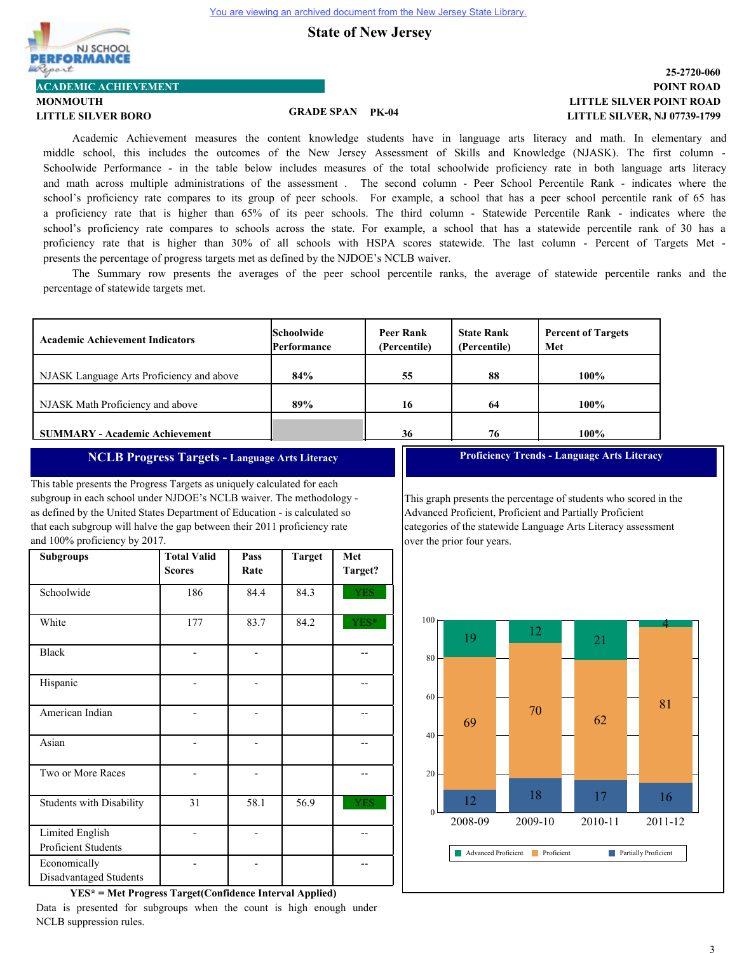

# **LITTLE SILVER BORO GRADE SPAN PK-04**

### **LITTLE SILVER POINT ROAD POINT ROAD 25-2720-060 LITTLE SILVER, NJ 07739-1799**

Academic Achievement measures the content knowledge students have in language arts literacy and math. In elementary and middle school, this includes the outcomes of the New Jersey Assessment of Skills and Knowledge (NJASK). The first column - Schoolwide Performance - in the table below includes measures of the total schoolwide proficiency rate in both language arts literacy and math across multiple administrations of the assessment . The second column - Peer School Percentile Rank - indicates where the school's proficiency rate compares to its group of peer schools. For example, a school that has a peer school percentile rank of 65 has a proficiency rate that is higher than 65% of its peer schools. The third column - Statewide Percentile Rank - indicates where the school's proficiency rate compares to schools across the state. For example, a school that has a statewide percentile rank of 30 has a proficiency rate that is higher than 30% of all schools with HSPA scores statewide. The last column - Percent of Targets Met presents the percentage of progress targets met as defined by the NJDOE's NCLB waiver.

The Summary row presents the averages of the peer school percentile ranks, the average of statewide percentile ranks and the percentage of statewide targets met.

| <b>Academic Achievement Indicators</b>    | <b>Schoolwide</b><br>Performance | Peer Rank<br>(Percentile) | <b>State Rank</b><br>(Percentile) | <b>Percent of Targets</b><br>Met |
|-------------------------------------------|----------------------------------|---------------------------|-----------------------------------|----------------------------------|
| NJASK Language Arts Proficiency and above | 84%                              | 55                        | 88                                | $100\%$                          |
| NJASK Math Proficiency and above          | 89%                              | 16                        | 64                                | 100%                             |
| <b>SUMMARY - Academic Achievement</b>     |                                  | 36                        | 76                                | 100%                             |

# **NCLB Progress Targets - Language Arts Literacy**

This table presents the Progress Targets as uniquely calculated for each subgroup in each school under NJDOE's NCLB waiver. The methodology as defined by the United States Department of Education - is calculated so that each subgroup will halve the gap between their 2011 proficiency rate and 100% proficiency by 2017.

| <b>Subgroups</b>                       | <b>Total Valid</b><br><b>Scores</b> | Pass<br>Rate | <b>Target</b> | Met<br>Target? |
|----------------------------------------|-------------------------------------|--------------|---------------|----------------|
| Schoolwide                             | 186                                 | 84.4         | 84.3          | <b>YES</b>     |
| White                                  | 177                                 | 83.7         | 84.2          | YES*           |
| <b>Black</b>                           |                                     |              |               |                |
| Hispanic                               |                                     |              |               |                |
| American Indian                        |                                     |              |               |                |
| Asian                                  |                                     |              |               |                |
| Two or More Races                      |                                     |              |               |                |
| <b>Students with Disability</b>        | 31                                  | 58.1         | 56.9          | <b>YES</b>     |
| Limited English<br>Proficient Students |                                     |              |               |                |
| Economically<br>Disadvantaged Students |                                     |              |               |                |

**Proficiency Trends - Language Arts Literacy**

This graph presents the percentage of students who scored in the Advanced Proficient, Proficient and Partially Proficient categories of the statewide Language Arts Literacy assessment over the prior four years.



**YES\* = Met Progress Target(Confidence Interval Applied)**

Data is presented for subgroups when the count is high enough under NCLB suppression rules.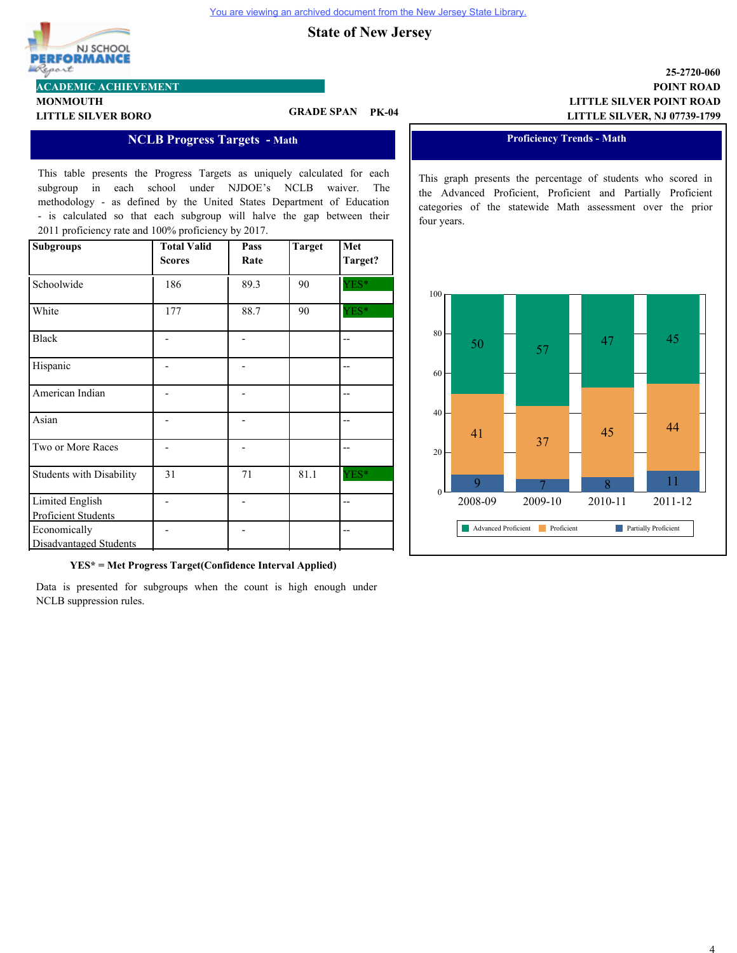

# **LITTLE SILVER BORO GRADE SPAN PK-04**

### **NCLB Progress Targets - Math**

This table presents the Progress Targets as uniquely calculated for each subgroup in each school under NJDOE's NCLB waiver. The methodology - as defined by the United States Department of Education - is calculated so that each subgroup will halve the gap between their 2011 proficiency rate and 100% proficiency by 2017.

| <b>Subgroups</b>                | <b>Total Valid</b><br><b>Scores</b> | Pass<br>Rate | <b>Target</b> | Met<br>Target? |
|---------------------------------|-------------------------------------|--------------|---------------|----------------|
|                                 |                                     |              |               |                |
| Schoolwide                      | 186                                 | 89.3         | 90            | YES*           |
|                                 |                                     |              |               |                |
| White                           | 177                                 | 88.7         | 90            | YES*           |
|                                 |                                     |              |               |                |
| <b>Black</b>                    |                                     |              |               |                |
|                                 |                                     |              |               |                |
| Hispanic                        |                                     |              |               |                |
|                                 |                                     |              |               |                |
| American Indian                 |                                     |              |               |                |
|                                 |                                     |              |               |                |
| Asian                           |                                     |              |               |                |
|                                 |                                     |              |               |                |
| Two or More Races               |                                     |              |               |                |
|                                 |                                     |              |               |                |
| <b>Students with Disability</b> | 31                                  | 71           | 81.1          | YES*           |
|                                 |                                     |              |               |                |
| Limited English                 |                                     |              |               |                |
| Proficient Students             |                                     |              |               |                |
| Economically                    |                                     |              |               |                |
| Disadvantaged Students          |                                     |              |               |                |

**YES\* = Met Progress Target(Confidence Interval Applied)**

Data is presented for subgroups when the count is high enough under NCLB suppression rules.

## **LITTLE SILVER POINT ROAD POINT ROAD 25-2720-060 LITTLE SILVER, NJ 07739-1799**

#### **Proficiency Trends - Math**

This graph presents the percentage of students who scored in the Advanced Proficient, Proficient and Partially Proficient categories of the statewide Math assessment over the prior four years.

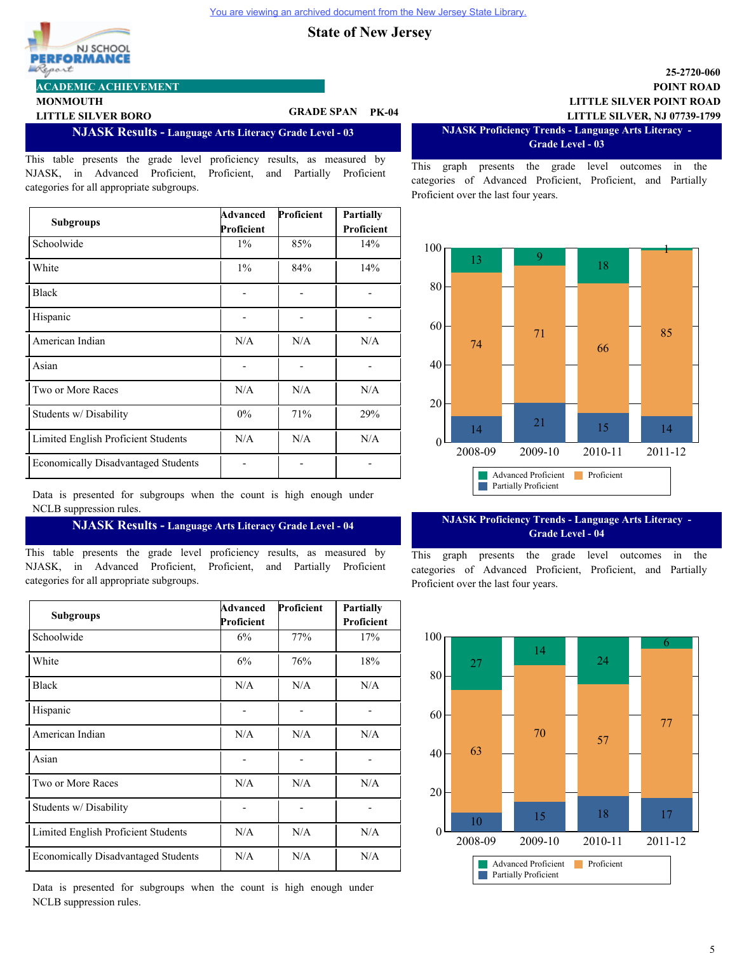

**MONMOUTH**

**LITTLE SILVER BORO GRADE SPAN PK-04**

**NJASK Results - Language Arts Literacy Grade Level - 03**

This table presents the grade level proficiency results, as measured by NJASK, in Advanced Proficient, Proficient, and Partially Proficient categories for all appropriate subgroups.

| <b>Subgroups</b>                           | Advanced<br>Proficient | Proficient | <b>Partially</b><br>Proficient |
|--------------------------------------------|------------------------|------------|--------------------------------|
| Schoolwide                                 | $1\%$                  | 85%        | 14%                            |
| White                                      | $1\%$                  | 84%        | 14%                            |
| <b>Black</b>                               |                        |            |                                |
| Hispanic                                   |                        |            |                                |
| American Indian                            | N/A                    | N/A        | N/A                            |
| Asian                                      |                        |            |                                |
| Two or More Races                          | N/A                    | N/A        | N/A                            |
| Students w/ Disability                     | 0%                     | 71%        | 29%                            |
| Limited English Proficient Students        | N/A                    | N/A        | N/A                            |
| <b>Economically Disadvantaged Students</b> |                        |            |                                |

Data is presented for subgroups when the count is high enough under NCLB suppression rules.

#### **NJASK Results - Language Arts Literacy Grade Level - 04**

This table presents the grade level proficiency results, as measured by NJASK, in Advanced Proficient, Proficient, and Partially Proficient categories for all appropriate subgroups.

| <b>Subgroups</b>                           | Advanced<br>Proficient | Proficient | <b>Partially</b><br>Proficient |
|--------------------------------------------|------------------------|------------|--------------------------------|
| Schoolwide                                 | 6%                     | 77%        | 17%                            |
| White                                      | 6%                     | 76%        | 18%                            |
| <b>Black</b>                               | N/A                    | N/A        | N/A                            |
| Hispanic                                   |                        |            |                                |
| American Indian                            | N/A                    | N/A        | N/A                            |
| Asian                                      |                        |            |                                |
| Two or More Races                          | N/A                    | N/A        | N/A                            |
| Students w/ Disability                     |                        |            |                                |
| Limited English Proficient Students        | N/A                    | N/A        | N/A                            |
| <b>Economically Disadvantaged Students</b> | N/A                    | N/A        | N/A                            |

Data is presented for subgroups when the count is high enough under NCLB suppression rules.

## **LITTLE SILVER POINT ROAD POINT ROAD 25-2720-060 LITTLE SILVER, NJ 07739-1799**

**NJASK Proficiency Trends - Language Arts Literacy - Grade Level - 03**

This graph presents the grade level outcomes in the categories of Advanced Proficient, Proficient, and Partially Proficient over the last four years.



## **NJASK Proficiency Trends - Language Arts Literacy - Grade Level - 04**

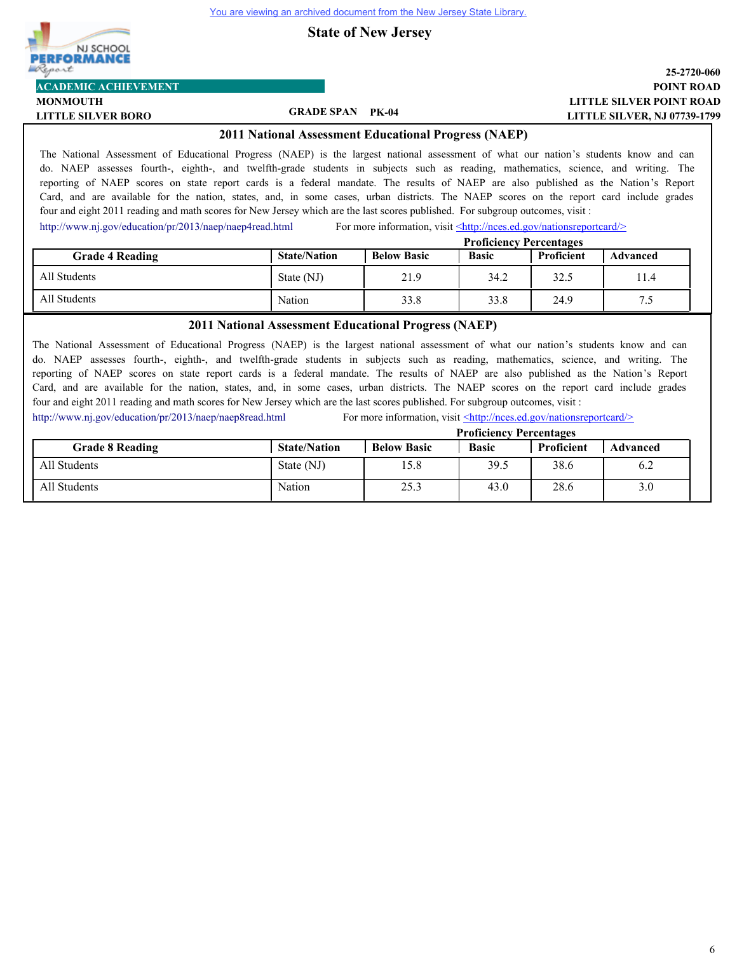**State of New Jersey**



**MONMOUTH**

### **LITTLE SILVER POINT ROAD POINT ROAD 25-2720-060 LITTLE SILVER, NJ 07739-1799**

**LITTLE SILVER BORO GRADE SPAN PK-04**

**2011 National Assessment Educational Progress (NAEP)**

The National Assessment of Educational Progress (NAEP) is the largest national assessment of what our nation's students know and can do. NAEP assesses fourth-, eighth-, and twelfth-grade students in subjects such as reading, mathematics, science, and writing. The reporting of NAEP scores on state report cards is a federal mandate. The results of NAEP are also published as the Nation's Report Card, and are available for the nation, states, and, in some cases, urban districts. The NAEP scores on the report card include grades four and eight 2011 reading and math scores for New Jersey which are the last scores published. For subgroup outcomes, visit :

<http://www.nj.gov/education/pr/2013/naep/naep4read.html> For more information, visit <http://nces.ed.gov/nationsreportcard/>

|                        | <b>Proficiency Percentages</b> |                    |              |            |          |
|------------------------|--------------------------------|--------------------|--------------|------------|----------|
| <b>Grade 4 Reading</b> | <b>State/Nation</b>            | <b>Below Basic</b> | <b>Basic</b> | Proficient | Advanced |
| All Students           | State (NJ)                     | 21.9               | 34.2         | 32.5       | 11.4     |
| All Students           | Nation                         | 33.8               | 33.8         | 24.9       | د.       |

#### **2011 National Assessment Educational Progress (NAEP)**

The National Assessment of Educational Progress (NAEP) is the largest national assessment of what our nation's students know and can do. NAEP assesses fourth-, eighth-, and twelfth-grade students in subjects such as reading, mathematics, science, and writing. The reporting of NAEP scores on state report cards is a federal mandate. The results of NAEP are also published as the Nation's Report Card, and are available for the nation, states, and, in some cases, urban districts. The NAEP scores on the report card include grades four and eight 2011 reading and math scores for New Jersey which are the last scores published. For subgroup outcomes, visit :

<http://www.nj.gov/education/pr/2013/naep/naep8read.html> For more information, visit  $\leq$ http://nces.ed.gov/nationsreportcard/>

|                        | <b>Proficiency Percentages</b> |                    |              |            |          |
|------------------------|--------------------------------|--------------------|--------------|------------|----------|
| <b>Grade 8 Reading</b> | <b>State/Nation</b>            | <b>Below Basic</b> | <b>Basic</b> | Proficient | Advanced |
| All Students           | State (NJ)                     | 15.8               | 39.5         | 38.6       | 6.2      |
| All Students           | Nation                         | 25.3               | 43.0         | 28.6       | 3.0      |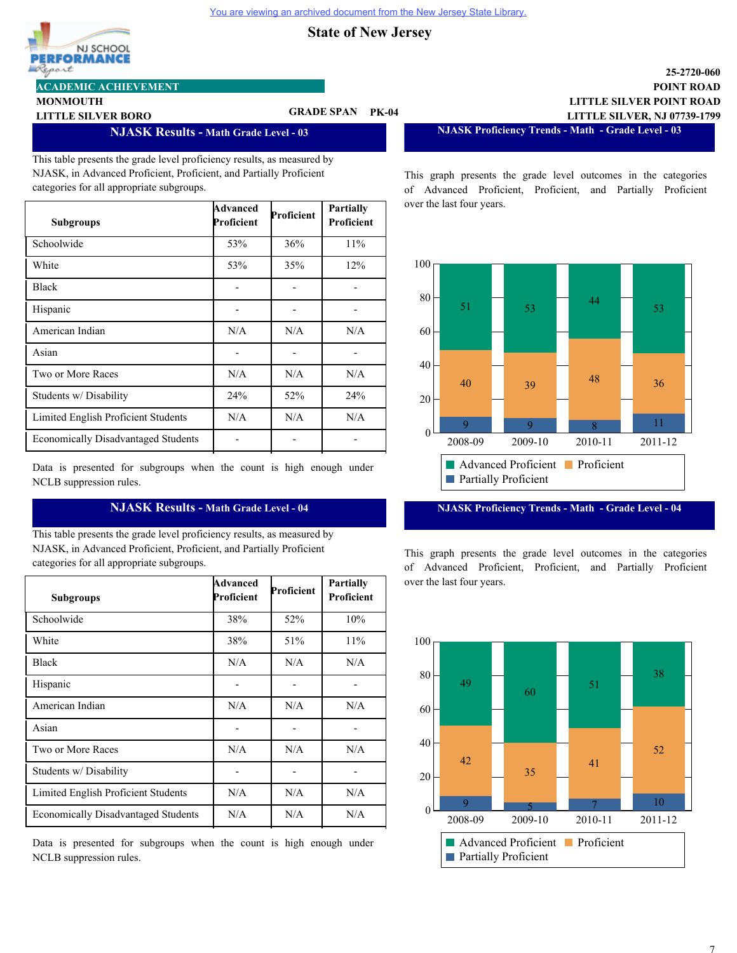

# **ACADEMIC ACHIEVEMENT**

**MONMOUTH**

# **LITTLE SILVER BORO GRADE SPAN PK-04**

**NJASK Results - Math Grade Level - 03**

This table presents the grade level proficiency results, as measured by NJASK, in Advanced Proficient, Proficient, and Partially Proficient categories for all appropriate subgroups.

| <b>Subgroups</b>                           | Advanced<br>Proficient | Proficient | Partially<br>Proficient |
|--------------------------------------------|------------------------|------------|-------------------------|
| Schoolwide                                 | 53%                    | 36%        | 11%                     |
| White                                      | 53%                    | 35%        | 12%                     |
| <b>Black</b>                               |                        |            |                         |
| Hispanic                                   |                        |            |                         |
| American Indian                            | N/A                    | N/A        | N/A                     |
| Asian                                      |                        |            |                         |
| Two or More Races                          | N/A                    | N/A        | N/A                     |
| Students w/ Disability                     | 24%                    | 52%        | 24%                     |
| Limited English Proficient Students        | N/A                    | N/A        | N/A                     |
| <b>Economically Disadvantaged Students</b> |                        |            |                         |

Data is presented for subgroups when the count is high enough under NCLB suppression rules.

# **NJASK Results - Math Grade Level - 04**

This table presents the grade level proficiency results, as measured by NJASK, in Advanced Proficient, Proficient, and Partially Proficient categories for all appropriate subgroups.

| <b>Subgroups</b>                           | Advanced<br>Proficient | Proficient | <b>Partially</b><br><b>Proficient</b> |
|--------------------------------------------|------------------------|------------|---------------------------------------|
| Schoolwide                                 | 38%                    | 52%        | 10%                                   |
| White                                      | 38%                    | 51%        | 11%                                   |
| <b>Black</b>                               | N/A                    | N/A        | N/A                                   |
| Hispanic                                   |                        |            |                                       |
| American Indian                            | N/A                    | N/A        | N/A                                   |
| Asian                                      |                        |            |                                       |
| Two or More Races                          | N/A                    | N/A        | N/A                                   |
| Students w/ Disability                     |                        |            |                                       |
| Limited English Proficient Students        | N/A                    | N/A        | N/A                                   |
| <b>Economically Disadvantaged Students</b> | N/A                    | N/A        | N/A                                   |

Data is presented for subgroups when the count is high enough under NCLB suppression rules.

**LITTLE SILVER POINT ROAD POINT ROAD 25-2720-060 LITTLE SILVER, NJ 07739-1799**

**NJASK Proficiency Trends - Math - Grade Level - 03**

This graph presents the grade level outcomes in the categories of Advanced Proficient, Proficient, and Partially Proficient over the last four years.



**NJASK Proficiency Trends - Math - Grade Level - 04**

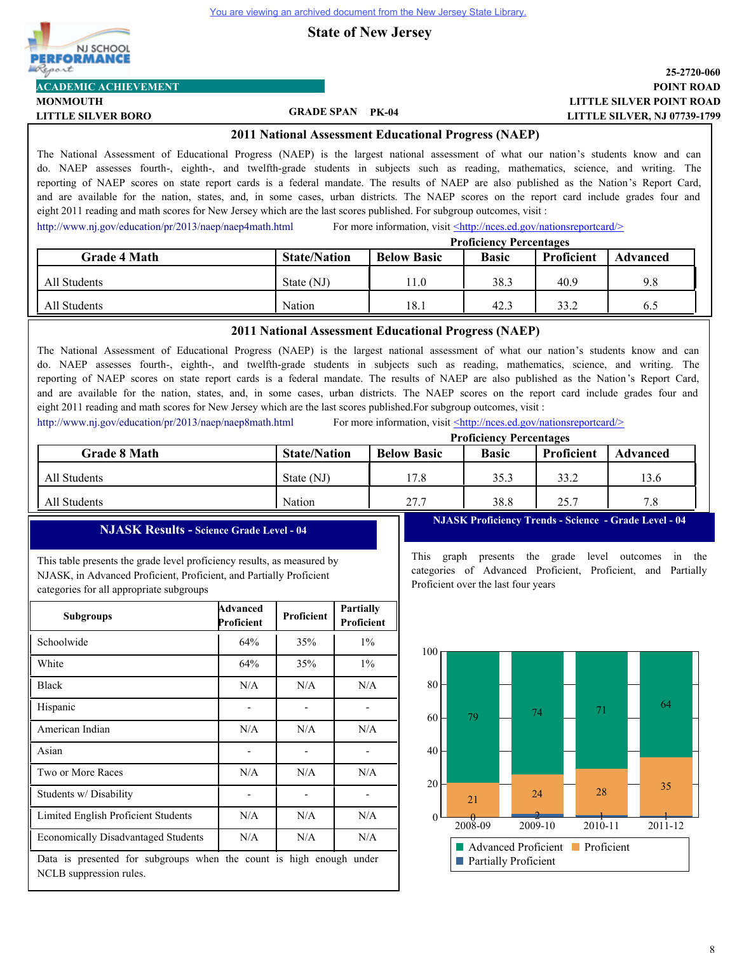NJ SCHOOL **PERFORMANCE** Llegart **ACADEMIC ACHIEVEMENT**

# **State of New Jersey**

## **LITTLE SILVER POINT ROAD POINT ROAD 25-2720-060 LITTLE SILVER, NJ 07739-1799**

**LITTLE SILVER BORO GRADE SPAN PK-04**

**MONMOUTH**

**2011 National Assessment Educational Progress (NAEP)**

The National Assessment of Educational Progress (NAEP) is the largest national assessment of what our nation's students know and can do. NAEP assesses fourth-, eighth-, and twelfth-grade students in subjects such as reading, mathematics, science, and writing. The reporting of NAEP scores on state report cards is a federal mandate. The results of NAEP are also published as the Nation's Report Card, and are available for the nation, states, and, in some cases, urban districts. The NAEP scores on the report card include grades four and eight 2011 reading and math scores for New Jersey which are the last scores published. For subgroup outcomes, visit :

<http://www.nj.gov/education/pr/2013/naep/naep4math.html> For more information, visit <http://nces.ed.gov/nationsreportcard/>

|                     | <b>Proficiency Percentages</b> |                    |              |            |                 |
|---------------------|--------------------------------|--------------------|--------------|------------|-----------------|
| <b>Grade 4 Math</b> | <b>State/Nation</b>            | <b>Below Basic</b> | <b>Basic</b> | Proficient | <b>Advanced</b> |
| All Students        | State (NJ)                     | 1.0                | 38.3         | 40.9       | 9.8             |
| All Students        | Nation                         | 18.1               | 42.3         | 33.2       | 6.5             |

### **2011 National Assessment Educational Progress (NAEP)**

The National Assessment of Educational Progress (NAEP) is the largest national assessment of what our nation's students know and can do. NAEP assesses fourth-, eighth-, and twelfth-grade students in subjects such as reading, mathematics, science, and writing. The reporting of NAEP scores on state report cards is a federal mandate. The results of NAEP are also published as the Nation's Report Card, and are available for the nation, states, and, in some cases, urban districts. The NAEP scores on the report card include grades four and eight 2011 reading and math scores for New Jersey which are the last scores published.For subgroup outcomes, visit :

<http://www.nj.gov/education/pr/2013/naep/naep8math.html> For more information, visit <http://nces.ed.gov/nationsreportcard/>

|                     |                     |                    | <b>Proficiency Percentages</b> |                   |          |
|---------------------|---------------------|--------------------|--------------------------------|-------------------|----------|
| <b>Grade 8 Math</b> | <b>State/Nation</b> | <b>Below Basic</b> | <b>Basic</b>                   | <b>Proficient</b> | Advanced |
| All Students        | State (NJ)          | 17.8               | 35.3                           | 33.2              | 13.6     |
| All Students        | Nation              | 27.7               | 38.8                           | 25.7              | 7.8      |

3

# **NJASK Results - Science Grade Level - 04**

This table presents the grade level proficiency results, as measured by NJASK, in Advanced Proficient, Proficient, and Partially Proficient categories for all appropriate subgroups

| <b>Subgroups</b>                                                                               | Advanced<br>Proficient | Proficient | Partially<br><b>Proficient</b> |
|------------------------------------------------------------------------------------------------|------------------------|------------|--------------------------------|
| Schoolwide                                                                                     | 64%                    | 35%        | $1\%$                          |
| White                                                                                          | 64%                    | 35%        | $1\%$                          |
| <b>Black</b>                                                                                   | N/A                    | N/A        | N/A                            |
| Hispanic                                                                                       |                        |            |                                |
| American Indian                                                                                | N/A                    | N/A        | N/A                            |
| Asian                                                                                          |                        |            |                                |
| Two or More Races                                                                              | N/A                    | N/A        | N/A                            |
| Students w/Disability                                                                          |                        |            |                                |
| Limited English Proficient Students                                                            | N/A                    | N/A        | N/A                            |
| <b>Economically Disadvantaged Students</b>                                                     | N/A                    | N/A        | N/A                            |
| Data is presented for subgroups when the count is high enough under<br>NCLB suppression rules. |                        |            |                                |

**NJASK Proficiency Trends - Science - Grade Level - 04**

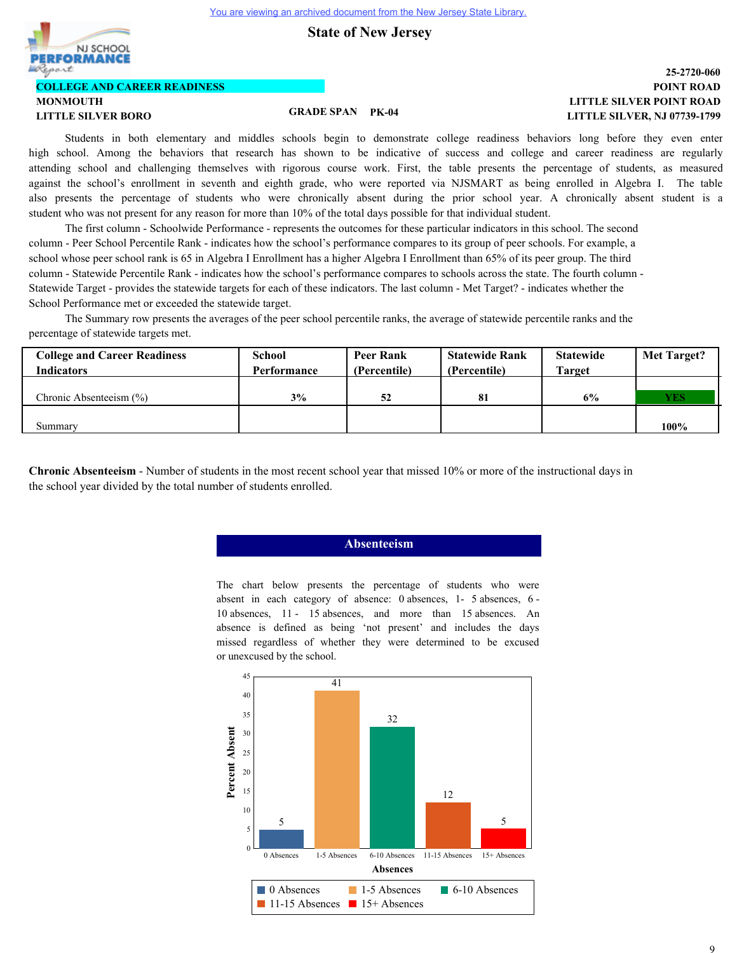**State of New Jersey**



## **LITTLE SILVER POINT ROAD POINT ROAD 25-2720-060 LITTLE SILVER, NJ 07739-1799**

Students in both elementary and middles schools begin to demonstrate college readiness behaviors long before they even enter high school. Among the behaviors that research has shown to be indicative of success and college and career readiness are regularly attending school and challenging themselves with rigorous course work. First, the table presents the percentage of students, as measured against the school's enrollment in seventh and eighth grade, who were reported via NJSMART as being enrolled in Algebra I. The table also presents the percentage of students who were chronically absent during the prior school year. A chronically absent student is a student who was not present for any reason for more than 10% of the total days possible for that individual student.

The first column - Schoolwide Performance - represents the outcomes for these particular indicators in this school. The second column - Peer School Percentile Rank - indicates how the school's performance compares to its group of peer schools. For example, a school whose peer school rank is 65 in Algebra I Enrollment has a higher Algebra I Enrollment than 65% of its peer group. The third column - Statewide Percentile Rank - indicates how the school's performance compares to schools across the state. The fourth column - Statewide Target - provides the statewide targets for each of these indicators. The last column - Met Target? - indicates whether the School Performance met or exceeded the statewide target.

The Summary row presents the averages of the peer school percentile ranks, the average of statewide percentile ranks and the percentage of statewide targets met.

| <b>College and Career Readiness</b> | School      | Peer Rank    | <b>Statewide Rank</b> | <b>Statewide</b> | Met Target? |
|-------------------------------------|-------------|--------------|-----------------------|------------------|-------------|
| <b>Indicators</b>                   | Performance | (Percentile) | (Percentile)          | <b>Target</b>    |             |
|                                     |             |              |                       |                  |             |
| Chronic Absenteeism $(\% )$         | 3%          | 52           |                       | 6%               | <b>YES</b>  |
|                                     |             |              |                       |                  |             |
| Summarv                             |             |              |                       |                  | $100\%$     |

**Chronic Absenteeism** - Number of students in the most recent school year that missed 10% or more of the instructional days in the school year divided by the total number of students enrolled.

#### **Absenteeism**

The chart below presents the percentage of students who were absent in each category of absence: 0 absences, 1- 5 absences, 6 - 10 absences, 11 - 15 absences, and more than 15 absences. An absence is defined as being 'not present' and includes the days missed regardless of whether they were determined to be excused or unexcused by the school.

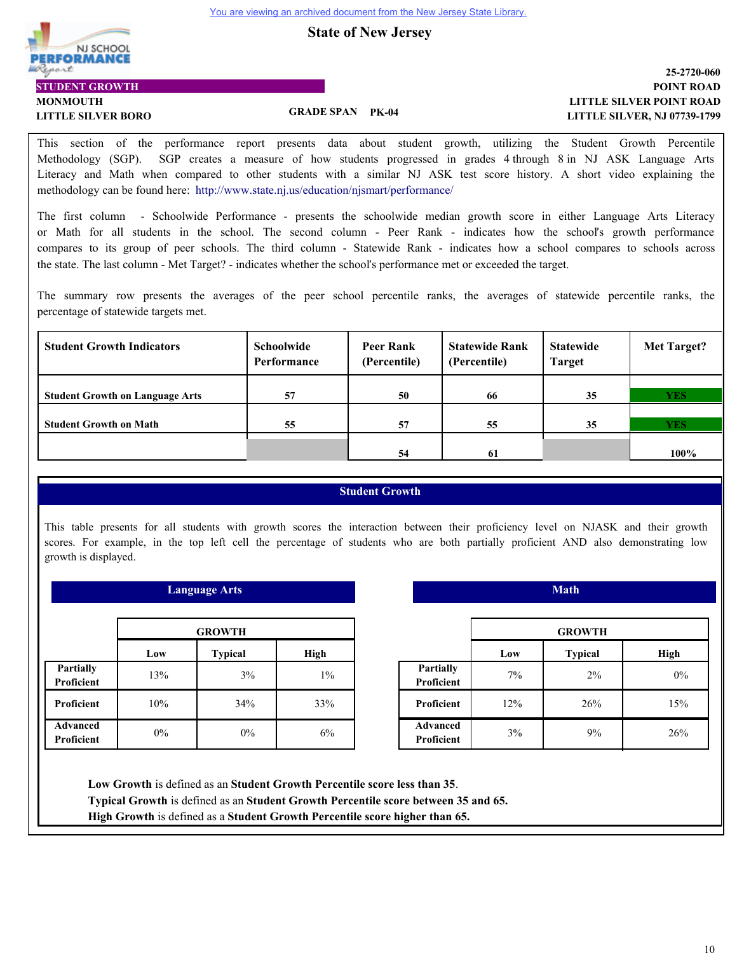**State of New Jersey**



## **LITTLE SILVER POINT ROAD POINT ROAD 25-2720-060 LITTLE SILVER, NJ 07739-1799**

This section of the performance report presents data about student growth, utilizing the Student Growth Percentile Methodology (SGP). SGP creates a measure of how students progressed in grades 4 through 8 in NJ ASK Language Arts Literacy and Math when compared to other students with a similar NJ ASK test score history. A short video explaining the methodology can be found here: http://www.state.nj.us/education/njsmart/performance/

The first column - Schoolwide Performance - presents the schoolwide median growth score in either Language Arts Literacy or Math for all students in the school. The second column - Peer Rank - indicates how the school's growth performance compares to its group of peer schools. The third column - Statewide Rank - indicates how a school compares to schools across the state. The last column - Met Target? - indicates whether the school's performance met or exceeded the target.

The summary row presents the averages of the peer school percentile ranks, the averages of statewide percentile ranks, the percentage of statewide targets met.

| <b>Student Growth Indicators</b>       | <b>Schoolwide</b><br>Performance | Peer Rank<br>(Percentile) | <b>Statewide Rank</b><br>(Percentile) | <b>Statewide</b><br>Target | <b>Met Target?</b> |
|----------------------------------------|----------------------------------|---------------------------|---------------------------------------|----------------------------|--------------------|
|                                        |                                  |                           |                                       |                            |                    |
| <b>Student Growth on Language Arts</b> | 57                               | 50                        | 66                                    | 35                         | <b>YES</b>         |
|                                        |                                  |                           |                                       |                            |                    |
| <b>Student Growth on Math</b>          | 55                               | 57                        | 55                                    | 35                         | <b>YES</b>         |
|                                        |                                  |                           |                                       |                            |                    |
|                                        |                                  | 54                        | 61                                    |                            | 100%               |

# **Student Growth**

This table presents for all students with growth scores the interaction between their proficiency level on NJASK and their growth scores. For example, in the top left cell the percentage of students who are both partially proficient AND also demonstrating low growth is displayed.

| <b>Language Arts</b>                 |                               |       |       |  |  |
|--------------------------------------|-------------------------------|-------|-------|--|--|
| <b>GROWTH</b>                        |                               |       |       |  |  |
|                                      | <b>Typical</b><br>High<br>Low |       |       |  |  |
| <b>Partially</b><br>Proficient       | 13%                           | 3%    | $1\%$ |  |  |
| Proficient                           | 10%                           | 34%   | 33%   |  |  |
| <b>Advanced</b><br><b>Proficient</b> | $0\%$                         | $0\%$ | 6%    |  |  |

|                                |     | <b>GROWTH</b>  |       |
|--------------------------------|-----|----------------|-------|
|                                | Low | <b>Typical</b> | High  |
| <b>Partially</b><br>Proficient | 7%  | $2\%$          | $0\%$ |
| Proficient                     | 12% | 26%            | 15%   |
| <b>Advanced</b><br>Proficient  | 3%  | 9%             | 26%   |

 **Math**

**Low Growth** is defined as an **Student Growth Percentile score less than 35**. **Typical Growth** is defined as an **Student Growth Percentile score between 35 and 65. High Growth** is defined as a **Student Growth Percentile score higher than 65.**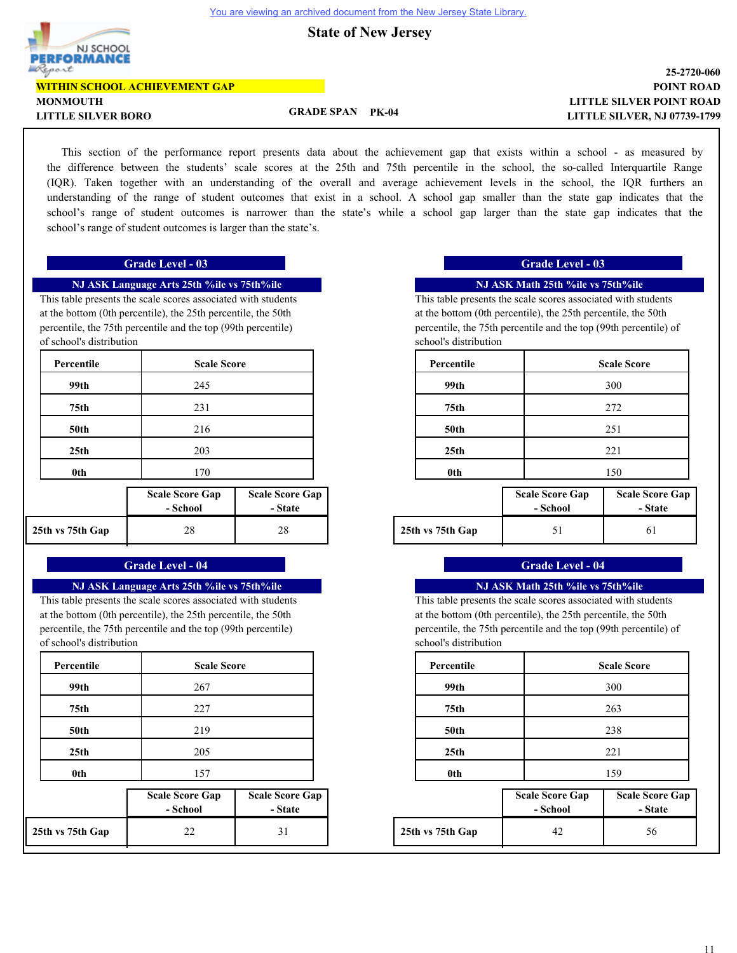**State of New Jersey**



### **LITTLE SILVER POINT ROAD POINT ROAD 25-2720-060 LITTLE SILVER, NJ 07739-1799**

**LITTLE SILVER BORO GRADE SPAN PK-04**

This section of the performance report presents data about the achievement gap that exists within a school - as measured by the difference between the students' scale scores at the 25th and 75th percentile in the school, the so-called Interquartile Range (IQR). Taken together with an understanding of the overall and average achievement levels in the school, the IQR furthers an understanding of the range of student outcomes that exist in a school. A school gap smaller than the state gap indicates that the school's range of student outcomes is narrower than the state's while a school gap larger than the state gap indicates that the school's range of student outcomes is larger than the state's.

### **Grade Level - 03 Grade Level - 03**

# **NJ ASK Language Arts 25th %ile vs 75th%ile**

This table presents the scale scores associated with students at the bottom (0th percentile), the 25th percentile, the 50th percentile, the 75th percentile and the top (99th percentile) of school's distribution

| Percentile       | <b>Scale Score</b>                 |                                   |
|------------------|------------------------------------|-----------------------------------|
| 99th             | 245                                |                                   |
| 75th             | 231                                |                                   |
| 50th             | 216                                |                                   |
| 25 <sub>th</sub> | 203                                |                                   |
| 0th              | 170                                |                                   |
|                  | <b>Scale Score Gap</b><br>- School | <b>Scale Score Gap</b><br>- State |
| 25th vs 75th Gap | 28                                 | 28                                |

#### **Grade Level - 04 Grade Level - 04**

#### **NJ ASK Language Arts 25th %ile vs 75th%ile**

This table presents the scale scores associated with students at the bottom (0th percentile), the 25th percentile, the 50th percentile, the 75th percentile and the top (99th percentile) of school's distribution

| Percentile       | <b>Scale Score</b>                 |                                   | Percentile       |                                    | <b>Scale Score</b> |
|------------------|------------------------------------|-----------------------------------|------------------|------------------------------------|--------------------|
| 99th             | 267                                |                                   | 99th             |                                    | 300                |
| 75th             | 227                                |                                   | 75th             |                                    | 263                |
| <b>50th</b>      | 219                                |                                   | <b>50th</b>      |                                    | 238                |
| 25 <sub>th</sub> | 205                                |                                   | 25 <sub>th</sub> |                                    | 221                |
| 0th              | 157                                |                                   | 0th              |                                    | 159                |
|                  | <b>Scale Score Gap</b><br>- School | <b>Scale Score Gap</b><br>- State |                  | <b>Scale Score Gap</b><br>- School | Scale Sco<br>$-St$ |
| 25th vs 75th Gap | 22                                 | 31                                | 25th vs 75th Gap | 42                                 | 56                 |

# **NJ ASK Math 25th %ile vs 75th%ile**

This table presents the scale scores associated with students at the bottom (0th percentile), the 25th percentile, the 50th percentile, the 75th percentile and the top (99th percentile) of school's distribution

| <b>Scale Score</b>                                                     | Percentile       | <b>Scale Score</b>                                                                                           |
|------------------------------------------------------------------------|------------------|--------------------------------------------------------------------------------------------------------------|
| 245                                                                    | 99th             | 300                                                                                                          |
| 231                                                                    | 75th             | 272                                                                                                          |
| 216                                                                    | <b>50th</b>      | 251                                                                                                          |
| 203                                                                    | 25 <sub>th</sub> | 221                                                                                                          |
| 170                                                                    | 0 <sub>th</sub>  | 150                                                                                                          |
| $S_{\text{calc}}$ $S_{\text{cone}}$ $C_{\text{om}}$<br>$\sim$ C $\sim$ |                  | $S_{\text{calc}}$ $S_{\text{acute}}$ $C_{\text{cm}}$<br>$S_{\text{calc}}$ $S_{\text{acute}}$ $C_{\text{cm}}$ |

| core Gap | <b>Scale Score Gap</b> |                  | <b>Scale Score Gap</b> | <b>Scale Score Gap</b> |
|----------|------------------------|------------------|------------------------|------------------------|
| :hool    | - State                |                  | - School               | - State                |
| 28       | 28                     | 25th vs 75th Gap |                        |                        |

#### **NJ ASK Math 25th %ile vs 75th%ile**

This table presents the scale scores associated with students at the bottom (0th percentile), the 25th percentile, the 50th percentile, the 75th percentile and the top (99th percentile) of school's distribution

| <b>Scale Score</b> | Percentile       | <b>Scale Score</b> |
|--------------------|------------------|--------------------|
| 267                | 99th             | 300                |
| 227                | 75th             | 263                |
| 219                | <b>50th</b>      | 238                |
| 205                | 25 <sub>th</sub> | 221                |
| 157                | 0th              | 159                |

| core Gap | <b>Scale Score Gap</b> |  |                  | <b>Scale Score Gap</b> | <b>Scale Score Gap</b> |  |  |
|----------|------------------------|--|------------------|------------------------|------------------------|--|--|
| :hool    | - State                |  |                  | - School               | - State                |  |  |
| 22       |                        |  | 25th vs 75th Gap | 42                     | 56                     |  |  |

 $\mathbf{I}$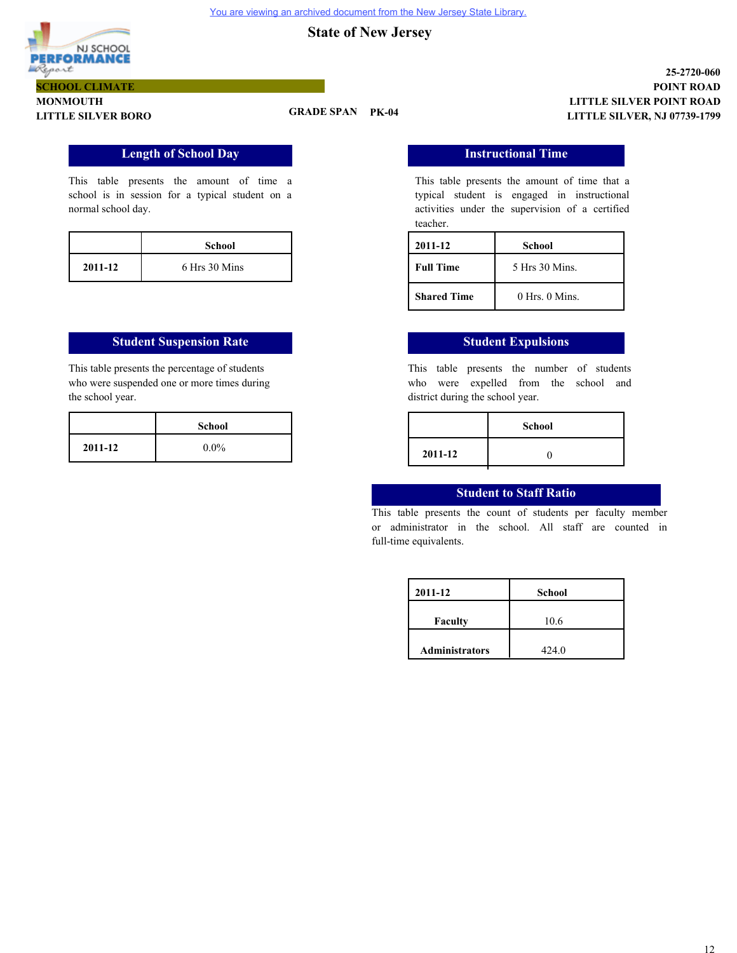

# **MONMOUTH LITTLE SILVER BORO GRADE SPAN PK-04**

# **Length of School Day**

This table presents the amount of time a school is in session for a typical student on a normal school day.

|         | <b>School</b> |  |
|---------|---------------|--|
| 2011-12 | 6 Hrs 30 Mins |  |

# **Student Suspension Rate Student Expulsions**

This table presents the percentage of students who were suspended one or more times during the school year.

**Instructional Time**

This table presents the amount of time that a typical student is engaged in instructional activities under the supervision of a certified teacher.

**LITTLE SILVER POINT ROAD**

**LITTLE SILVER, NJ 07739-1799**

**POINT ROAD 25-2720-060**

| 2011-12            | School             |  |
|--------------------|--------------------|--|
| <b>Full Time</b>   | 5 Hrs 30 Mins.     |  |
| <b>Shared Time</b> | $0$ Hrs. $0$ Mins. |  |

This table presents the number of students who were expelled from the school and district during the school year.

| School  |         | <b>School</b> |
|---------|---------|---------------|
| $0.0\%$ | 2011-12 |               |
|         |         |               |

# **Student to Staff Ratio**

This table presents the count of students per faculty member or administrator in the school. All staff are counted in full-time equivalents.

| 2011-12               | <b>School</b> |  |
|-----------------------|---------------|--|
| <b>Faculty</b>        | 10.6          |  |
| <b>Administrators</b> | 424.0         |  |